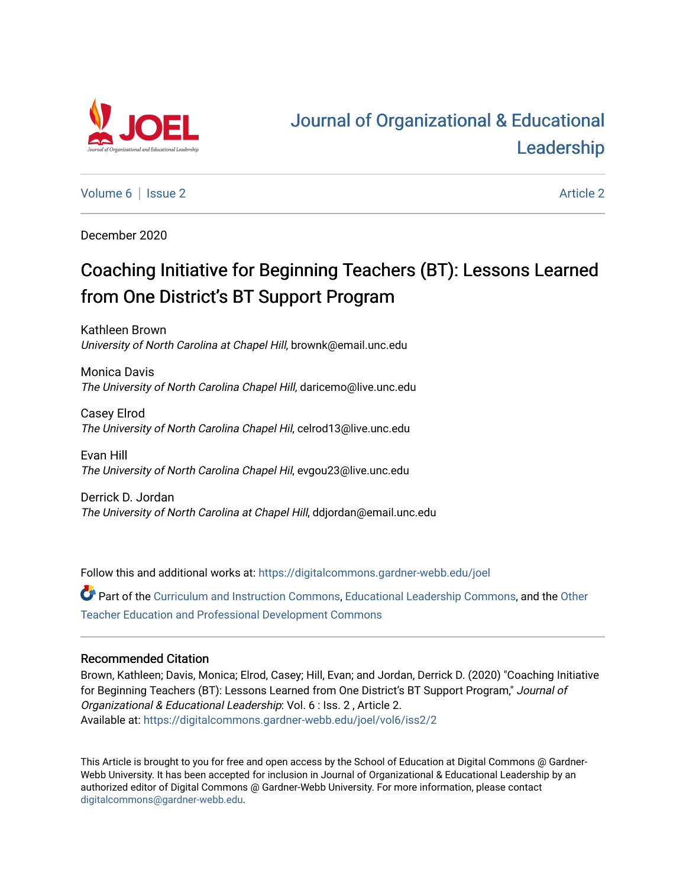

# [Journal of Organizational & Educational](https://digitalcommons.gardner-webb.edu/joel)  [Leadership](https://digitalcommons.gardner-webb.edu/joel)

[Volume 6](https://digitalcommons.gardner-webb.edu/joel/vol6) | [Issue 2](https://digitalcommons.gardner-webb.edu/joel/vol6/iss2) Article 2

December 2020

# Coaching Initiative for Beginning Teachers (BT): Lessons Learned from One District's BT Support Program

Kathleen Brown University of North Carolina at Chapel Hill, brownk@email.unc.edu

Monica Davis The University of North Carolina Chapel Hill, daricemo@live.unc.edu

Casey Elrod The University of North Carolina Chapel Hil, celrod13@live.unc.edu

Evan Hill The University of North Carolina Chapel Hil, evgou23@live.unc.edu

Derrick D. Jordan The University of North Carolina at Chapel Hill, ddjordan@email.unc.edu

Follow this and additional works at: [https://digitalcommons.gardner-webb.edu/joel](https://digitalcommons.gardner-webb.edu/joel?utm_source=digitalcommons.gardner-webb.edu%2Fjoel%2Fvol6%2Fiss2%2F2&utm_medium=PDF&utm_campaign=PDFCoverPages) 

Part of the [Curriculum and Instruction Commons,](http://network.bepress.com/hgg/discipline/786?utm_source=digitalcommons.gardner-webb.edu%2Fjoel%2Fvol6%2Fiss2%2F2&utm_medium=PDF&utm_campaign=PDFCoverPages) [Educational Leadership Commons,](http://network.bepress.com/hgg/discipline/1230?utm_source=digitalcommons.gardner-webb.edu%2Fjoel%2Fvol6%2Fiss2%2F2&utm_medium=PDF&utm_campaign=PDFCoverPages) and the [Other](http://network.bepress.com/hgg/discipline/810?utm_source=digitalcommons.gardner-webb.edu%2Fjoel%2Fvol6%2Fiss2%2F2&utm_medium=PDF&utm_campaign=PDFCoverPages)  [Teacher Education and Professional Development Commons](http://network.bepress.com/hgg/discipline/810?utm_source=digitalcommons.gardner-webb.edu%2Fjoel%2Fvol6%2Fiss2%2F2&utm_medium=PDF&utm_campaign=PDFCoverPages)

# Recommended Citation

Brown, Kathleen; Davis, Monica; Elrod, Casey; Hill, Evan; and Jordan, Derrick D. (2020) "Coaching Initiative for Beginning Teachers (BT): Lessons Learned from One District's BT Support Program," Journal of Organizational & Educational Leadership: Vol. 6 : Iss. 2 , Article 2. Available at: [https://digitalcommons.gardner-webb.edu/joel/vol6/iss2/2](https://digitalcommons.gardner-webb.edu/joel/vol6/iss2/2?utm_source=digitalcommons.gardner-webb.edu%2Fjoel%2Fvol6%2Fiss2%2F2&utm_medium=PDF&utm_campaign=PDFCoverPages)

This Article is brought to you for free and open access by the School of Education at Digital Commons @ Gardner-Webb University. It has been accepted for inclusion in Journal of Organizational & Educational Leadership by an authorized editor of Digital Commons @ Gardner-Webb University. For more information, please contact [digitalcommons@gardner-webb.edu](mailto:digitalcommons@gardner-webb.edu).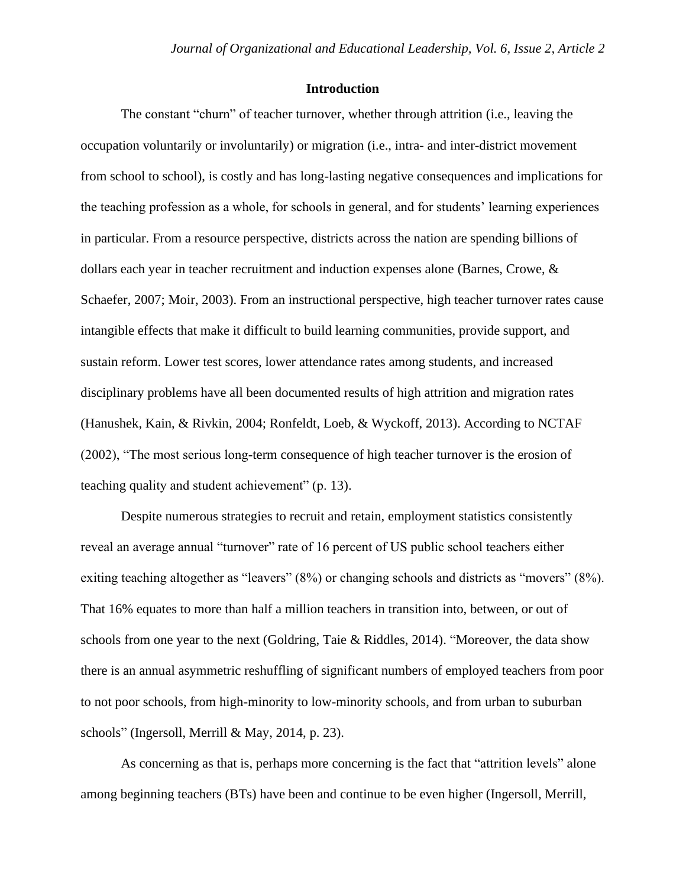## **Introduction**

The constant "churn" of teacher turnover, whether through attrition (i.e., leaving the occupation voluntarily or involuntarily) or migration (i.e., intra- and inter-district movement from school to school), is costly and has long-lasting negative consequences and implications for the teaching profession as a whole, for schools in general, and for students' learning experiences in particular. From a resource perspective, districts across the nation are spending billions of dollars each year in teacher recruitment and induction expenses alone (Barnes, Crowe, & Schaefer, 2007; Moir, 2003). From an instructional perspective, high teacher turnover rates cause intangible effects that make it difficult to build learning communities, provide support, and sustain reform. Lower test scores, lower attendance rates among students, and increased disciplinary problems have all been documented results of high attrition and migration rates (Hanushek, Kain, & Rivkin, 2004; Ronfeldt, Loeb, & Wyckoff, 2013). According to NCTAF (2002), "The most serious long-term consequence of high teacher turnover is the erosion of teaching quality and student achievement" (p. 13).

Despite numerous strategies to recruit and retain, employment statistics consistently reveal an average annual "turnover" rate of 16 percent of US public school teachers either exiting teaching altogether as "leavers" (8%) or changing schools and districts as "movers" (8%). That 16% equates to more than half a million teachers in transition into, between, or out of schools from one year to the next (Goldring, Taie & Riddles, 2014). "Moreover, the data show there is an annual asymmetric reshuffling of significant numbers of employed teachers from poor to not poor schools, from high-minority to low-minority schools, and from urban to suburban schools" (Ingersoll, Merrill & May, 2014, p. 23).

As concerning as that is, perhaps more concerning is the fact that "attrition levels" alone among beginning teachers (BTs) have been and continue to be even higher (Ingersoll, Merrill,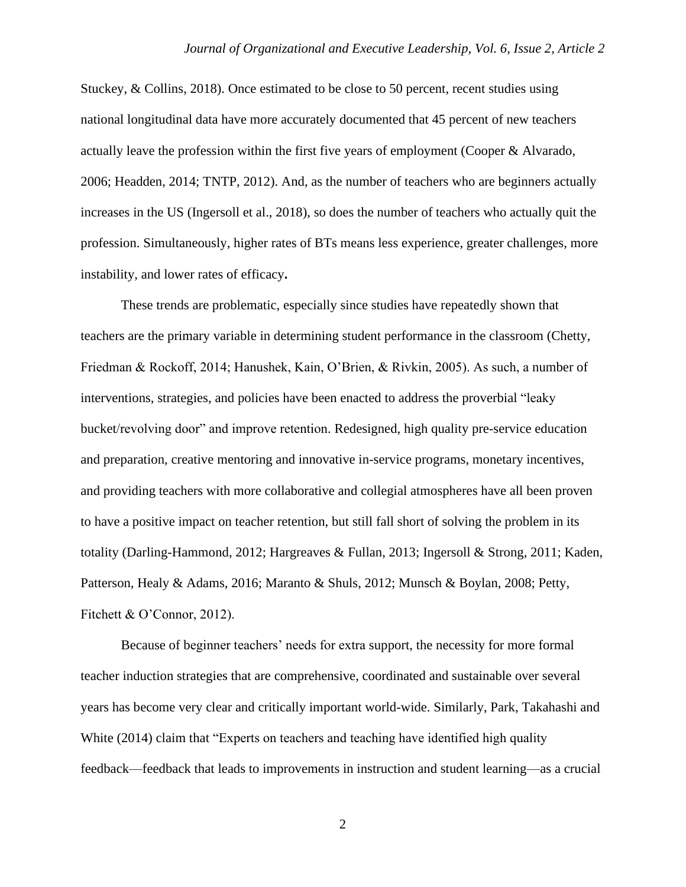Stuckey, & Collins, 2018). Once estimated to be close to 50 percent, recent studies using national longitudinal data have more accurately documented that 45 percent of new teachers actually leave the profession within the first five years of employment (Cooper & Alvarado, 2006; Headden, 2014; TNTP, 2012). And, as the number of teachers who are beginners actually increases in the US (Ingersoll et al., 2018), so does the number of teachers who actually quit the profession. Simultaneously, higher rates of BTs means less experience, greater challenges, more instability, and lower rates of efficacy**.**

These trends are problematic, especially since studies have repeatedly shown that teachers are the primary variable in determining student performance in the classroom (Chetty, Friedman & Rockoff, 2014; Hanushek, Kain, O'Brien, & Rivkin, 2005). As such, a number of interventions, strategies, and policies have been enacted to address the proverbial "leaky bucket/revolving door" and improve retention. Redesigned, high quality pre-service education and preparation, creative mentoring and innovative in-service programs, monetary incentives, and providing teachers with more collaborative and collegial atmospheres have all been proven to have a positive impact on teacher retention, but still fall short of solving the problem in its totality (Darling-Hammond, 2012; Hargreaves & Fullan, 2013; Ingersoll & Strong, 2011; Kaden, Patterson, Healy & Adams, 2016; Maranto & Shuls, 2012; Munsch & Boylan, 2008; Petty, Fitchett & O'Connor, 2012).

Because of beginner teachers' needs for extra support, the necessity for more formal teacher induction strategies that are comprehensive, coordinated and sustainable over several years has become very clear and critically important world-wide. Similarly, Park, Takahashi and White (2014) claim that "Experts on teachers and teaching have identified high quality feedback—feedback that leads to improvements in instruction and student learning—as a crucial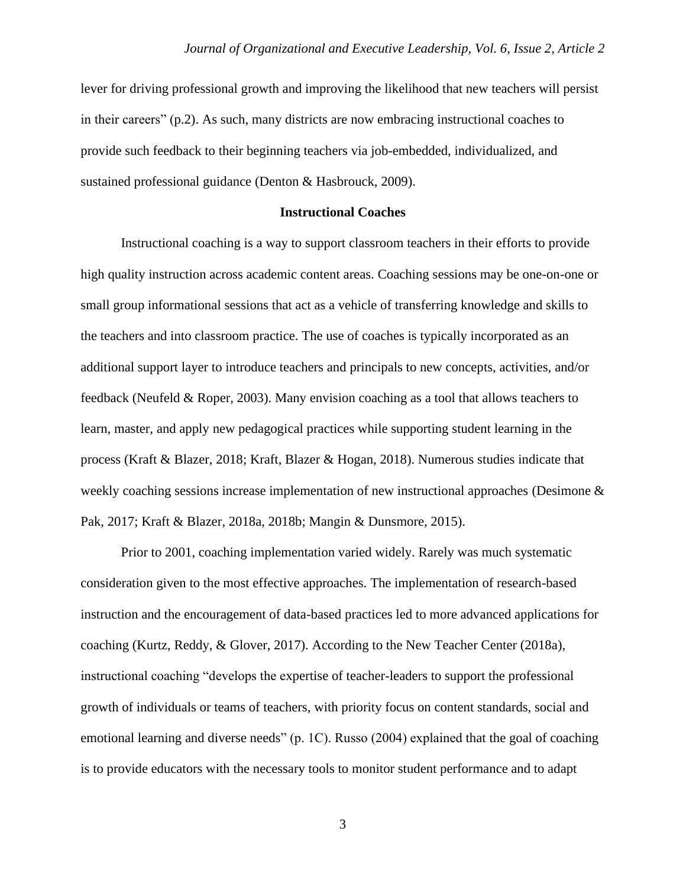lever for driving professional growth and improving the likelihood that new teachers will persist in their careers" (p.2). As such, many districts are now embracing instructional coaches to provide such feedback to their beginning teachers via job-embedded, individualized, and sustained professional guidance (Denton & Hasbrouck, 2009).

#### **Instructional Coaches**

Instructional coaching is a way to support classroom teachers in their efforts to provide high quality instruction across academic content areas. Coaching sessions may be one-on-one or small group informational sessions that act as a vehicle of transferring knowledge and skills to the teachers and into classroom practice. The use of coaches is typically incorporated as an additional support layer to introduce teachers and principals to new concepts, activities, and/or feedback (Neufeld & Roper, 2003). Many envision coaching as a tool that allows teachers to learn, master, and apply new pedagogical practices while supporting student learning in the process (Kraft & Blazer, 2018; Kraft, Blazer & Hogan, 2018). Numerous studies indicate that weekly coaching sessions increase implementation of new instructional approaches (Desimone & Pak, 2017; Kraft & Blazer, 2018a, 2018b; Mangin & Dunsmore, 2015).

Prior to 2001, coaching implementation varied widely. Rarely was much systematic consideration given to the most effective approaches. The implementation of research-based instruction and the encouragement of data-based practices led to more advanced applications for coaching (Kurtz, Reddy, & Glover, 2017). According to the New Teacher Center (2018a), instructional coaching "develops the expertise of teacher-leaders to support the professional growth of individuals or teams of teachers, with priority focus on content standards, social and emotional learning and diverse needs" (p. 1C). Russo (2004) explained that the goal of coaching is to provide educators with the necessary tools to monitor student performance and to adapt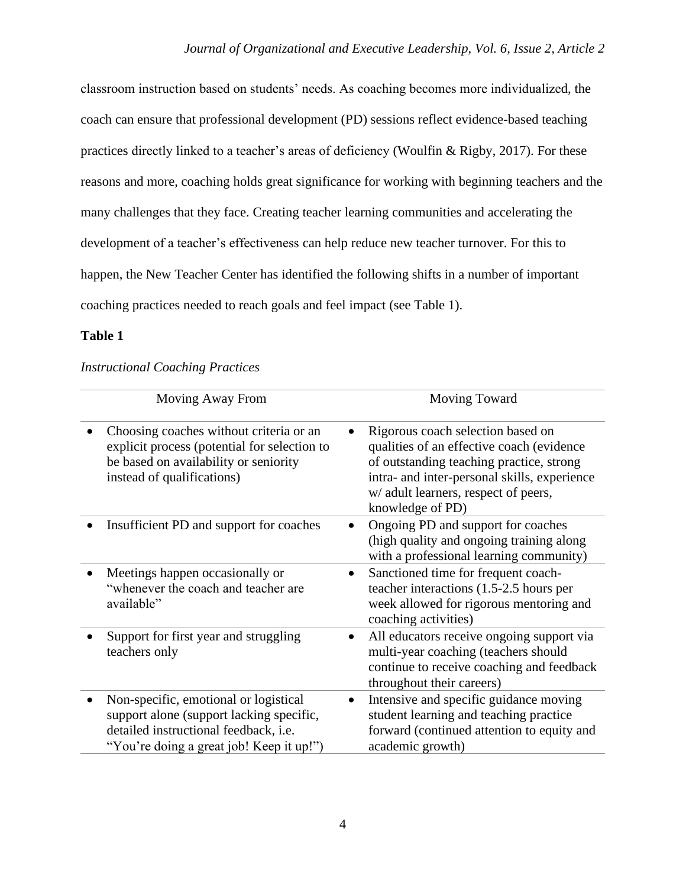classroom instruction based on students' needs. As coaching becomes more individualized, the coach can ensure that professional development (PD) sessions reflect evidence-based teaching practices directly linked to a teacher's areas of deficiency (Woulfin & Rigby, 2017). For these reasons and more, coaching holds great significance for working with beginning teachers and the many challenges that they face. Creating teacher learning communities and accelerating the development of a teacher's effectiveness can help reduce new teacher turnover. For this to happen, the New Teacher Center has identified the following shifts in a number of important coaching practices needed to reach goals and feel impact (see Table 1).

# **Table 1**

| <b>Instructional Coaching Practices</b> |  |  |
|-----------------------------------------|--|--|
|-----------------------------------------|--|--|

| Moving Away From                                                                                                                                                       |   | Moving Toward                                                                                                                                                                                                                          |
|------------------------------------------------------------------------------------------------------------------------------------------------------------------------|---|----------------------------------------------------------------------------------------------------------------------------------------------------------------------------------------------------------------------------------------|
| Choosing coaches without criteria or an<br>explicit process (potential for selection to<br>be based on availability or seniority<br>instead of qualifications)         |   | Rigorous coach selection based on<br>qualities of an effective coach (evidence<br>of outstanding teaching practice, strong<br>intra- and inter-personal skills, experience<br>w/ adult learners, respect of peers,<br>knowledge of PD) |
| Insufficient PD and support for coaches                                                                                                                                |   | Ongoing PD and support for coaches<br>(high quality and ongoing training along<br>with a professional learning community)                                                                                                              |
| Meetings happen occasionally or<br>"whenever the coach and teacher are<br>available"                                                                                   |   | Sanctioned time for frequent coach-<br>teacher interactions (1.5-2.5 hours per<br>week allowed for rigorous mentoring and<br>coaching activities)                                                                                      |
| Support for first year and struggling<br>teachers only                                                                                                                 |   | All educators receive ongoing support via<br>multi-year coaching (teachers should<br>continue to receive coaching and feedback<br>throughout their careers)                                                                            |
| Non-specific, emotional or logistical<br>support alone (support lacking specific,<br>detailed instructional feedback, i.e.<br>"You're doing a great job! Keep it up!") | ٠ | Intensive and specific guidance moving<br>student learning and teaching practice<br>forward (continued attention to equity and<br>academic growth)                                                                                     |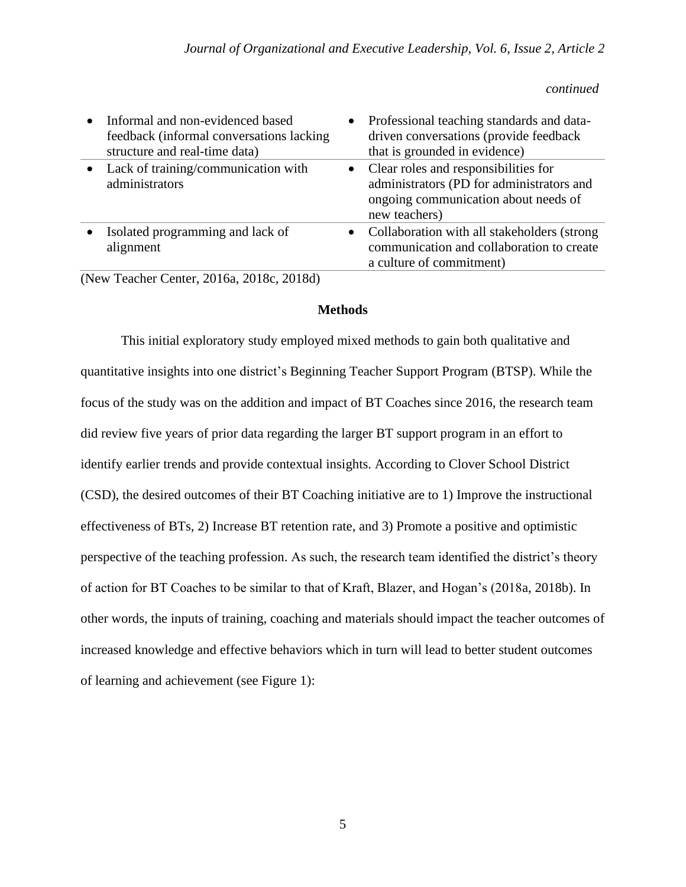*continued*

| $\bullet$ | Informal and non-evidenced based<br>feedback (informal conversations lacking<br>structure and real-time data) | Professional teaching standards and data-<br>driven conversations (provide feedback<br>that is grounded in evidence)                                    |
|-----------|---------------------------------------------------------------------------------------------------------------|---------------------------------------------------------------------------------------------------------------------------------------------------------|
|           | • Lack of training/communication with<br>administrators                                                       | Clear roles and responsibilities for<br>$\bullet$<br>administrators (PD for administrators and<br>ongoing communication about needs of<br>new teachers) |
|           | Isolated programming and lack of<br>alignment                                                                 | Collaboration with all stakeholders (strong<br>$\bullet$<br>communication and collaboration to create<br>a culture of commitment)                       |

(New Teacher Center, 2016a, 2018c, 2018d)

# **Methods**

This initial exploratory study employed mixed methods to gain both qualitative and quantitative insights into one district's Beginning Teacher Support Program (BTSP). While the focus of the study was on the addition and impact of BT Coaches since 2016, the research team did review five years of prior data regarding the larger BT support program in an effort to identify earlier trends and provide contextual insights. According to Clover School District (CSD), the desired outcomes of their BT Coaching initiative are to 1) Improve the instructional effectiveness of BTs, 2) Increase BT retention rate, and 3) Promote a positive and optimistic perspective of the teaching profession. As such, the research team identified the district's theory of action for BT Coaches to be similar to that of Kraft, Blazer, and Hogan's (2018a, 2018b). In other words, the inputs of training, coaching and materials should impact the teacher outcomes of increased knowledge and effective behaviors which in turn will lead to better student outcomes of learning and achievement (see Figure 1):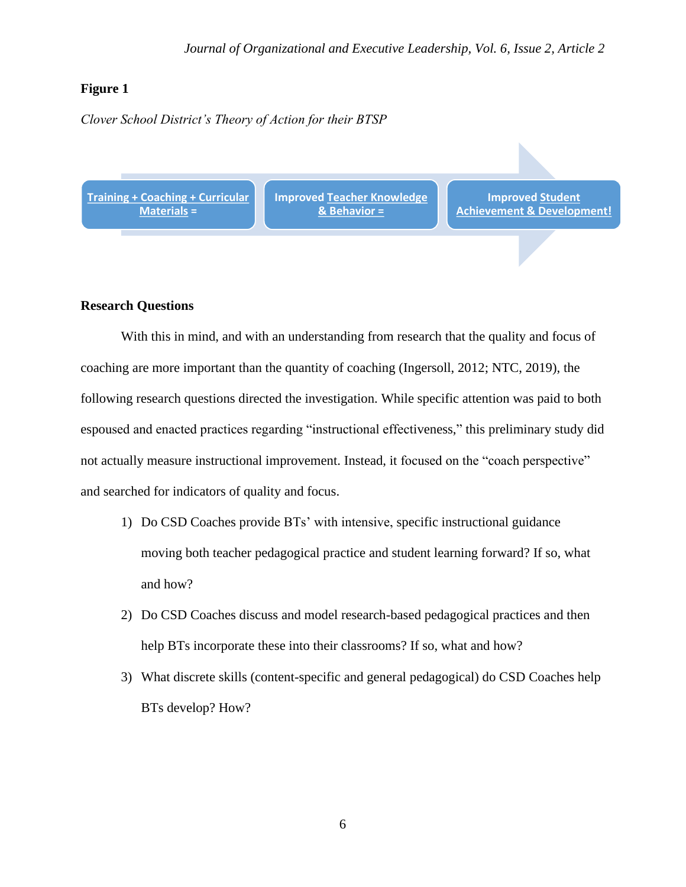# **Figure 1**

*Clover School District's Theory of Action for their BTSP*

**Training + Coaching + Curricular Materials =**

**Improved Teacher Knowledge & Behavior =**

**Improved Student Achievement & Development!**

# **Research Questions**

With this in mind, and with an understanding from research that the quality and focus of coaching are more important than the quantity of coaching (Ingersoll, 2012; NTC, 2019), the following research questions directed the investigation. While specific attention was paid to both espoused and enacted practices regarding "instructional effectiveness," this preliminary study did not actually measure instructional improvement. Instead, it focused on the "coach perspective" and searched for indicators of quality and focus.

- 1) Do CSD Coaches provide BTs' with intensive, specific instructional guidance moving both teacher pedagogical practice and student learning forward? If so, what and how?
- 2) Do CSD Coaches discuss and model research-based pedagogical practices and then help BTs incorporate these into their classrooms? If so, what and how?
- 3) What discrete skills (content-specific and general pedagogical) do CSD Coaches help BTs develop? How?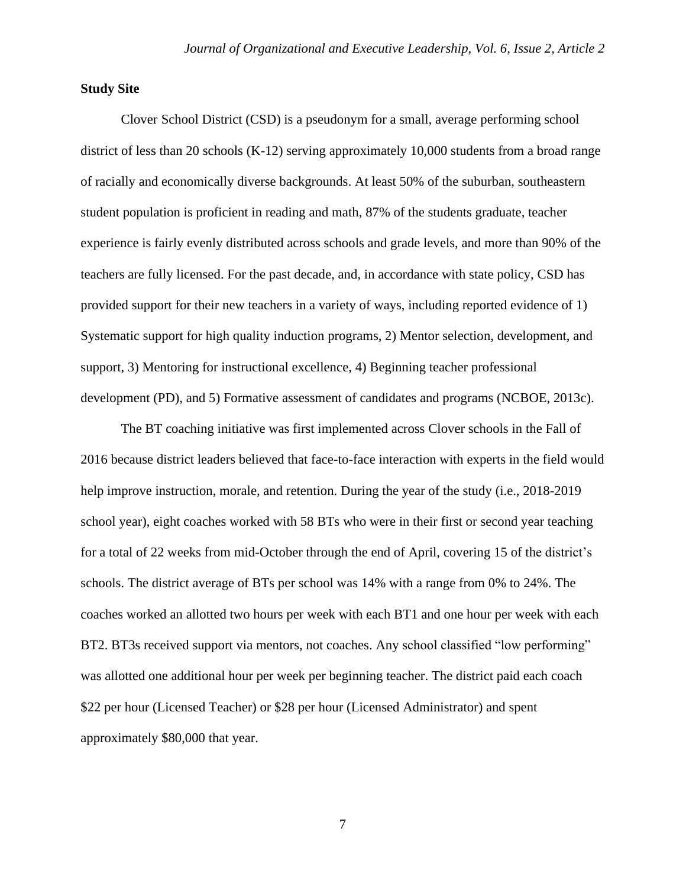# **Study Site**

Clover School District (CSD) is a pseudonym for a small, average performing school district of less than 20 schools (K-12) serving approximately 10,000 students from a broad range of racially and economically diverse backgrounds. At least 50% of the suburban, southeastern student population is proficient in reading and math, 87% of the students graduate, teacher experience is fairly evenly distributed across schools and grade levels, and more than 90% of the teachers are fully licensed. For the past decade, and, in accordance with state policy, CSD has provided support for their new teachers in a variety of ways, including reported evidence of 1) Systematic support for high quality induction programs, 2) Mentor selection, development, and support, 3) Mentoring for instructional excellence, 4) Beginning teacher professional development (PD), and 5) Formative assessment of candidates and programs (NCBOE, 2013c).

The BT coaching initiative was first implemented across Clover schools in the Fall of 2016 because district leaders believed that face-to-face interaction with experts in the field would help improve instruction, morale, and retention. During the year of the study (i.e., 2018-2019 school year), eight coaches worked with 58 BTs who were in their first or second year teaching for a total of 22 weeks from mid-October through the end of April, covering 15 of the district's schools. The district average of BTs per school was 14% with a range from 0% to 24%. The coaches worked an allotted two hours per week with each BT1 and one hour per week with each BT2. BT3s received support via mentors, not coaches. Any school classified "low performing" was allotted one additional hour per week per beginning teacher. The district paid each coach \$22 per hour (Licensed Teacher) or \$28 per hour (Licensed Administrator) and spent approximately \$80,000 that year.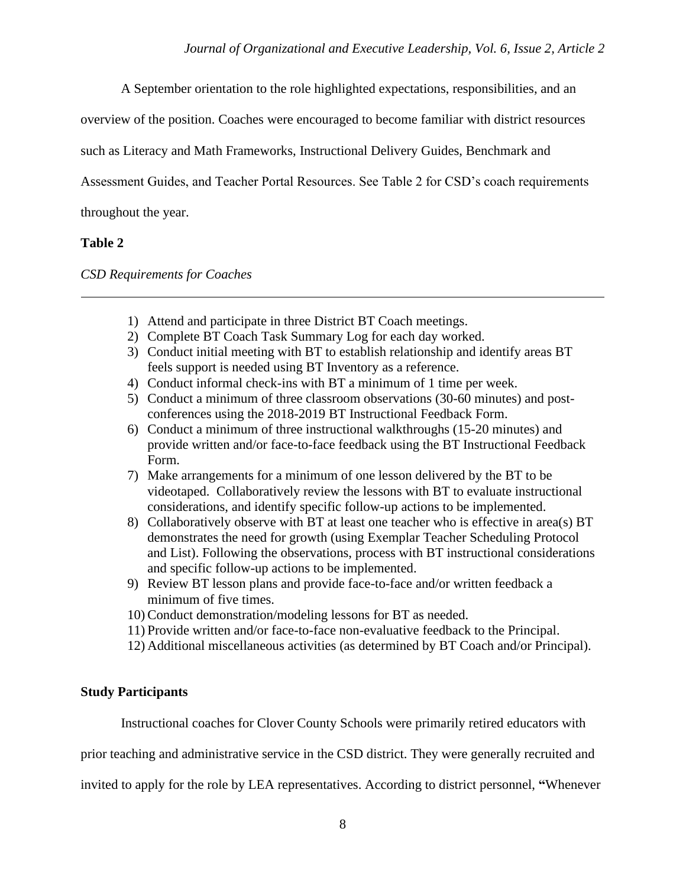A September orientation to the role highlighted expectations, responsibilities, and an

overview of the position. Coaches were encouraged to become familiar with district resources

such as Literacy and Math Frameworks, Instructional Delivery Guides, Benchmark and

Assessment Guides, and Teacher Portal Resources. See Table 2 for CSD's coach requirements

throughout the year.

# **Table 2**

*CSD Requirements for Coaches*

- 1) Attend and participate in three District BT Coach meetings.
- 2) Complete BT Coach Task Summary Log for each day worked.
- 3) Conduct initial meeting with BT to establish relationship and identify areas BT feels support is needed using BT Inventory as a reference.
- 4) Conduct informal check-ins with BT a minimum of 1 time per week.
- 5) Conduct a minimum of three classroom observations (30-60 minutes) and postconferences using the 2018-2019 BT Instructional Feedback Form.
- 6) Conduct a minimum of three instructional walkthroughs (15-20 minutes) and provide written and/or face-to-face feedback using the BT Instructional Feedback Form.
- 7) Make arrangements for a minimum of one lesson delivered by the BT to be videotaped. Collaboratively review the lessons with BT to evaluate instructional considerations, and identify specific follow-up actions to be implemented.
- 8) Collaboratively observe with BT at least one teacher who is effective in area(s) BT demonstrates the need for growth (using Exemplar Teacher Scheduling Protocol and List). Following the observations, process with BT instructional considerations and specific follow-up actions to be implemented.
- 9) Review BT lesson plans and provide face-to-face and/or written feedback a minimum of five times.
- 10) Conduct demonstration/modeling lessons for BT as needed.
- 11) Provide written and/or face-to-face non-evaluative feedback to the Principal.
- 12) Additional miscellaneous activities (as determined by BT Coach and/or Principal).

# **Study Participants**

Instructional coaches for Clover County Schools were primarily retired educators with

prior teaching and administrative service in the CSD district. They were generally recruited and

invited to apply for the role by LEA representatives. According to district personnel, **"**Whenever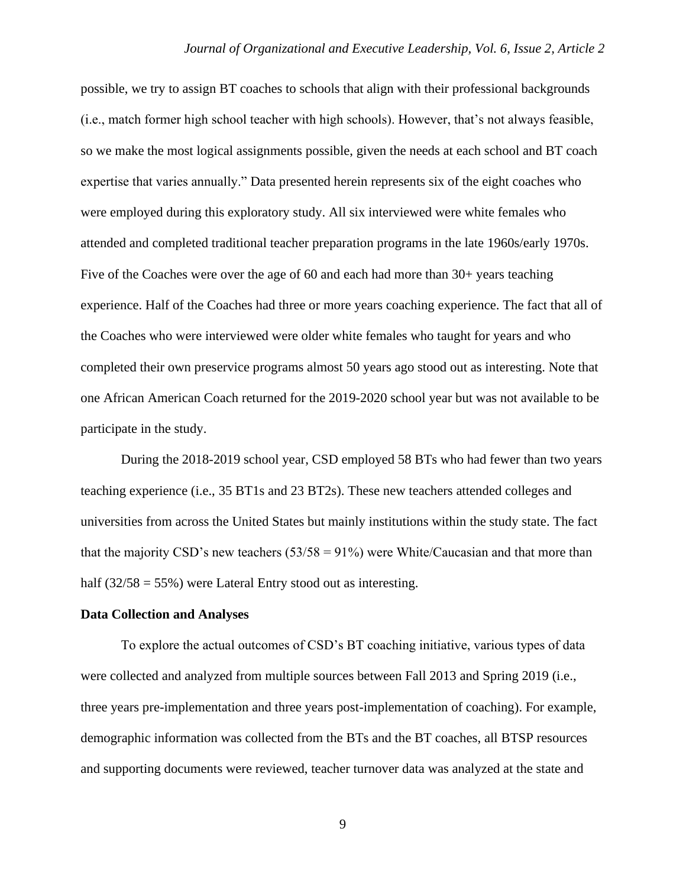possible, we try to assign BT coaches to schools that align with their professional backgrounds (i.e., match former high school teacher with high schools). However, that's not always feasible, so we make the most logical assignments possible, given the needs at each school and BT coach expertise that varies annually." Data presented herein represents six of the eight coaches who were employed during this exploratory study. All six interviewed were white females who attended and completed traditional teacher preparation programs in the late 1960s/early 1970s. Five of the Coaches were over the age of 60 and each had more than 30+ years teaching experience. Half of the Coaches had three or more years coaching experience. The fact that all of the Coaches who were interviewed were older white females who taught for years and who completed their own preservice programs almost 50 years ago stood out as interesting. Note that one African American Coach returned for the 2019-2020 school year but was not available to be participate in the study.

During the 2018-2019 school year, CSD employed 58 BTs who had fewer than two years teaching experience (i.e., 35 BT1s and 23 BT2s). These new teachers attended colleges and universities from across the United States but mainly institutions within the study state. The fact that the majority CSD's new teachers  $(53/58 = 91\%)$  were White/Caucasian and that more than half  $(32/58 = 55\%)$  were Lateral Entry stood out as interesting.

## **Data Collection and Analyses**

To explore the actual outcomes of CSD's BT coaching initiative, various types of data were collected and analyzed from multiple sources between Fall 2013 and Spring 2019 (i.e., three years pre-implementation and three years post-implementation of coaching). For example, demographic information was collected from the BTs and the BT coaches, all BTSP resources and supporting documents were reviewed, teacher turnover data was analyzed at the state and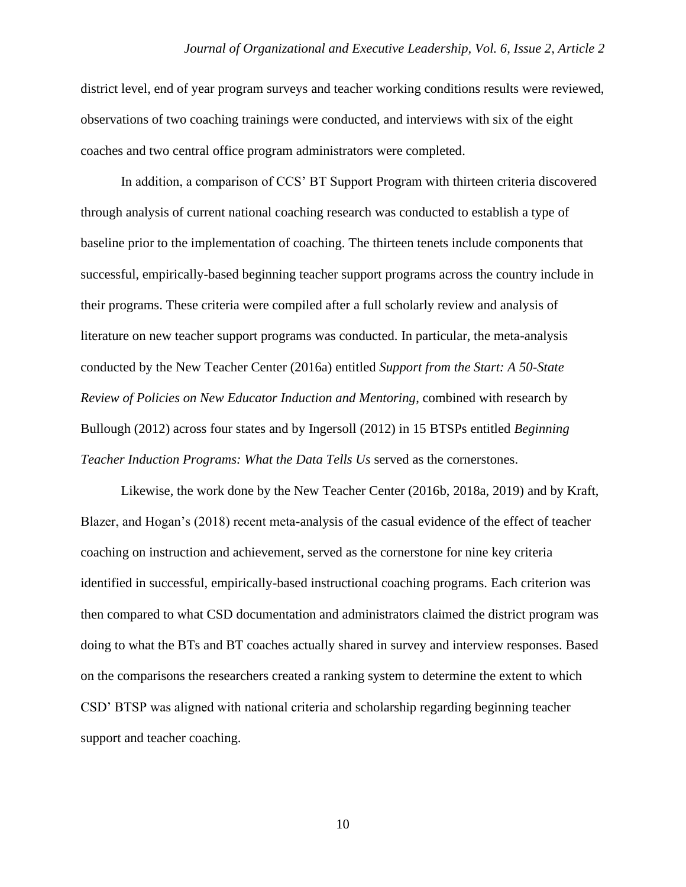district level, end of year program surveys and teacher working conditions results were reviewed, observations of two coaching trainings were conducted, and interviews with six of the eight coaches and two central office program administrators were completed.

In addition, a comparison of CCS' BT Support Program with thirteen criteria discovered through analysis of current national coaching research was conducted to establish a type of baseline prior to the implementation of coaching. The thirteen tenets include components that successful, empirically-based beginning teacher support programs across the country include in their programs. These criteria were compiled after a full scholarly review and analysis of literature on new teacher support programs was conducted. In particular, the meta-analysis conducted by the New Teacher Center (2016a) entitled *Support from the Start: A 50-State Review of Policies on New Educator Induction and Mentoring*, combined with research by Bullough (2012) across four states and by Ingersoll (2012) in 15 BTSPs entitled *Beginning Teacher Induction Programs: What the Data Tells Us* served as the cornerstones.

Likewise, the work done by the New Teacher Center (2016b, 2018a, 2019) and by Kraft, Blazer, and Hogan's (2018) recent meta-analysis of the casual evidence of the effect of teacher coaching on instruction and achievement, served as the cornerstone for nine key criteria identified in successful, empirically-based instructional coaching programs. Each criterion was then compared to what CSD documentation and administrators claimed the district program was doing to what the BTs and BT coaches actually shared in survey and interview responses. Based on the comparisons the researchers created a ranking system to determine the extent to which CSD' BTSP was aligned with national criteria and scholarship regarding beginning teacher support and teacher coaching.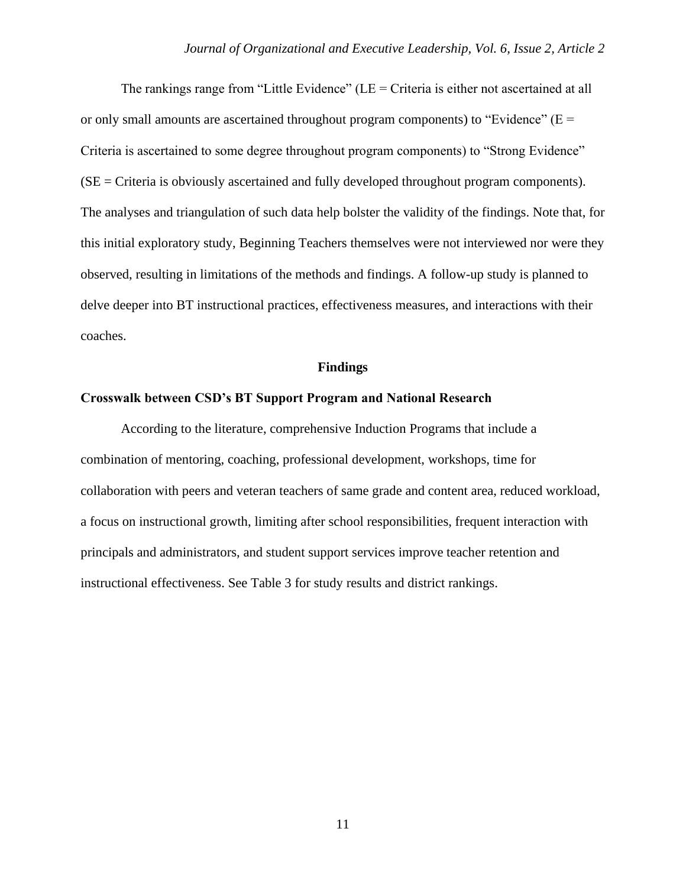The rankings range from "Little Evidence" (LE = Criteria is either not ascertained at all or only small amounts are ascertained throughout program components) to "Evidence" ( $E =$ Criteria is ascertained to some degree throughout program components) to "Strong Evidence" (SE = Criteria is obviously ascertained and fully developed throughout program components). The analyses and triangulation of such data help bolster the validity of the findings. Note that, for this initial exploratory study, Beginning Teachers themselves were not interviewed nor were they observed, resulting in limitations of the methods and findings. A follow-up study is planned to delve deeper into BT instructional practices, effectiveness measures, and interactions with their coaches.

#### **Findings**

#### **Crosswalk between CSD's BT Support Program and National Research**

According to the literature, comprehensive Induction Programs that include a combination of mentoring, coaching, professional development, workshops, time for collaboration with peers and veteran teachers of same grade and content area, reduced workload, a focus on instructional growth, limiting after school responsibilities, frequent interaction with principals and administrators, and student support services improve teacher retention and instructional effectiveness. See Table 3 for study results and district rankings.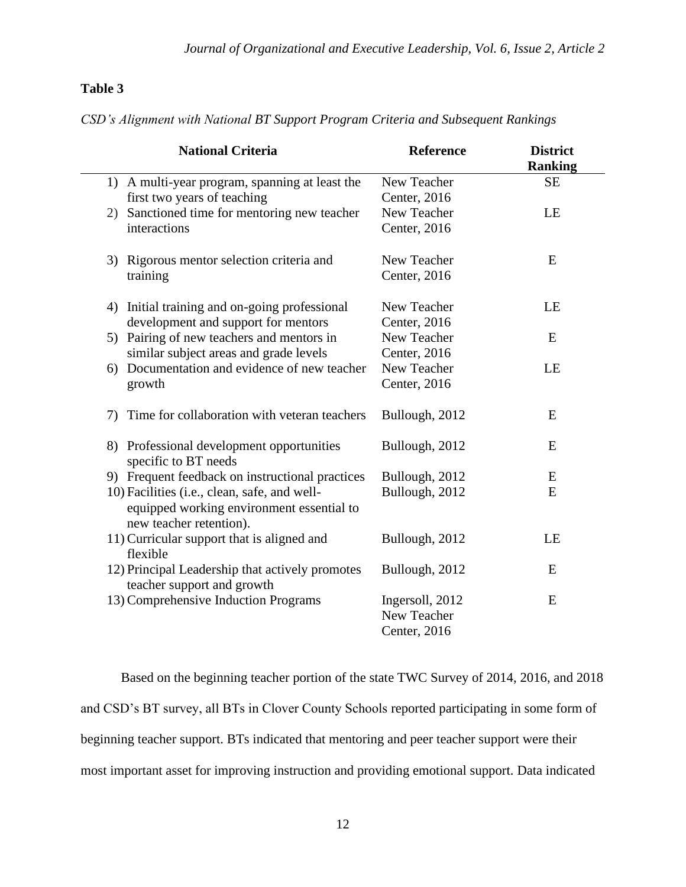# **Table 3**

*CSD's Alignment with National BT Support Program Criteria and Subsequent Rankings*

| <b>National Criteria</b>                           | <b>Reference</b> | <b>District</b> |
|----------------------------------------------------|------------------|-----------------|
|                                                    |                  | <b>Ranking</b>  |
| 1) A multi-year program, spanning at least the     | New Teacher      | <b>SE</b>       |
| first two years of teaching                        | Center, 2016     |                 |
| Sanctioned time for mentoring new teacher<br>2)    | New Teacher      | LE              |
| interactions                                       | Center, 2016     |                 |
|                                                    |                  |                 |
| 3) Rigorous mentor selection criteria and          | New Teacher      | E               |
| training                                           | Center, 2016     |                 |
| Initial training and on-going professional<br>4)   | New Teacher      | LE              |
| development and support for mentors                | Center, 2016     |                 |
| Pairing of new teachers and mentors in<br>5)       | New Teacher      | E               |
| similar subject areas and grade levels             | Center, 2016     |                 |
| Documentation and evidence of new teacher<br>6)    | New Teacher      | LE              |
| growth                                             | Center, 2016     |                 |
|                                                    |                  |                 |
| Time for collaboration with veteran teachers<br>7) | Bullough, 2012   | E               |
| 8) Professional development opportunities          | Bullough, 2012   | E               |
| specific to BT needs                               |                  |                 |
| 9) Frequent feedback on instructional practices    | Bullough, 2012   | E               |
| 10) Facilities (i.e., clean, safe, and well-       | Bullough, 2012   | ${\bf E}$       |
| equipped working environment essential to          |                  |                 |
| new teacher retention).                            |                  |                 |
| 11) Curricular support that is aligned and         | Bullough, 2012   | LE              |
| flexible                                           |                  |                 |
| 12) Principal Leadership that actively promotes    | Bullough, 2012   | E               |
| teacher support and growth                         |                  |                 |
| 13) Comprehensive Induction Programs               | Ingersoll, 2012  | E               |
|                                                    | New Teacher      |                 |
|                                                    | Center, 2016     |                 |

Based on the beginning teacher portion of the state TWC Survey of 2014, 2016, and 2018 and CSD's BT survey, all BTs in Clover County Schools reported participating in some form of beginning teacher support. BTs indicated that mentoring and peer teacher support were their most important asset for improving instruction and providing emotional support. Data indicated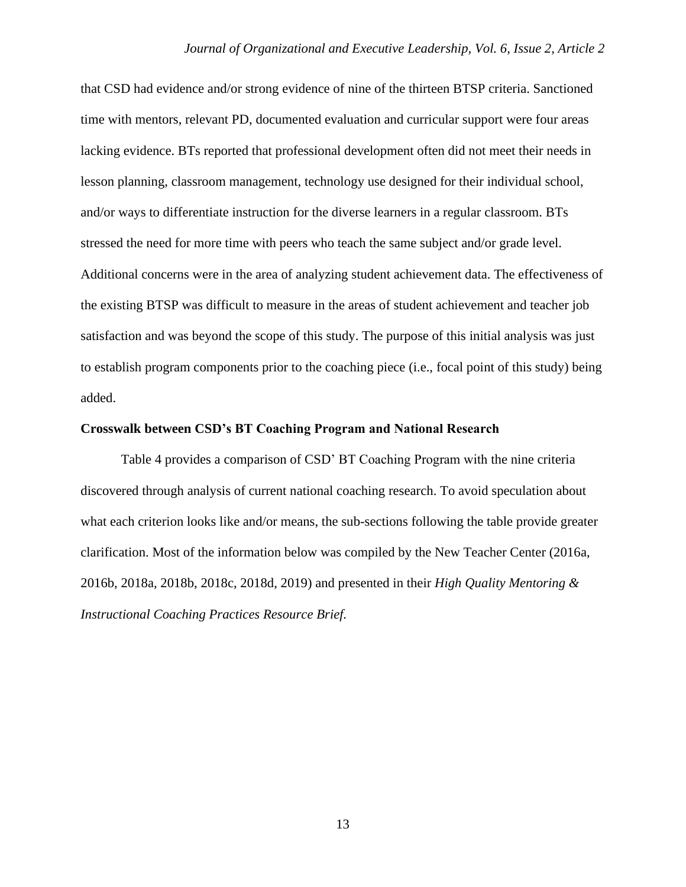that CSD had evidence and/or strong evidence of nine of the thirteen BTSP criteria. Sanctioned time with mentors, relevant PD, documented evaluation and curricular support were four areas lacking evidence. BTs reported that professional development often did not meet their needs in lesson planning, classroom management, technology use designed for their individual school, and/or ways to differentiate instruction for the diverse learners in a regular classroom. BTs stressed the need for more time with peers who teach the same subject and/or grade level. Additional concerns were in the area of analyzing student achievement data. The effectiveness of the existing BTSP was difficult to measure in the areas of student achievement and teacher job satisfaction and was beyond the scope of this study. The purpose of this initial analysis was just to establish program components prior to the coaching piece (i.e., focal point of this study) being added.

#### **Crosswalk between CSD's BT Coaching Program and National Research**

Table 4 provides a comparison of CSD' BT Coaching Program with the nine criteria discovered through analysis of current national coaching research. To avoid speculation about what each criterion looks like and/or means, the sub-sections following the table provide greater clarification. Most of the information below was compiled by the New Teacher Center (2016a, 2016b, 2018a, 2018b, 2018c, 2018d, 2019) and presented in their *High Quality Mentoring & Instructional Coaching Practices Resource Brief.*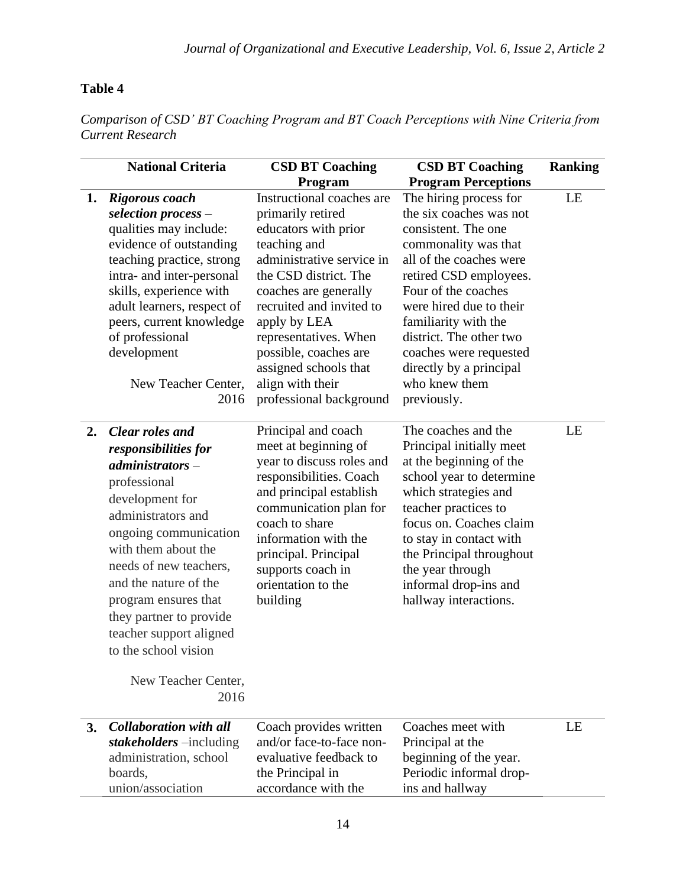# **Table 4**

*Comparison of CSD' BT Coaching Program and BT Coach Perceptions with Nine Criteria from Current Research*

|    | <b>National Criteria</b>                                                                                                                                                                                                                                                                                                                                      | <b>CSD BT Coaching</b>                                                                                                                                                                                                                                                                                                                      | <b>CSD BT Coaching</b>                                                                                                                                                                                                                                                                                                                          | <b>Ranking</b> |
|----|---------------------------------------------------------------------------------------------------------------------------------------------------------------------------------------------------------------------------------------------------------------------------------------------------------------------------------------------------------------|---------------------------------------------------------------------------------------------------------------------------------------------------------------------------------------------------------------------------------------------------------------------------------------------------------------------------------------------|-------------------------------------------------------------------------------------------------------------------------------------------------------------------------------------------------------------------------------------------------------------------------------------------------------------------------------------------------|----------------|
|    |                                                                                                                                                                                                                                                                                                                                                               | Program                                                                                                                                                                                                                                                                                                                                     | <b>Program Perceptions</b>                                                                                                                                                                                                                                                                                                                      |                |
| 1. | Rigorous coach<br>selection process $-$<br>qualities may include:<br>evidence of outstanding<br>teaching practice, strong<br>intra- and inter-personal<br>skills, experience with<br>adult learners, respect of<br>peers, current knowledge<br>of professional<br>development<br>New Teacher Center,<br>2016                                                  | Instructional coaches are<br>primarily retired<br>educators with prior<br>teaching and<br>administrative service in<br>the CSD district. The<br>coaches are generally<br>recruited and invited to<br>apply by LEA<br>representatives. When<br>possible, coaches are<br>assigned schools that<br>align with their<br>professional background | The hiring process for<br>the six coaches was not<br>consistent. The one<br>commonality was that<br>all of the coaches were<br>retired CSD employees.<br>Four of the coaches<br>were hired due to their<br>familiarity with the<br>district. The other two<br>coaches were requested<br>directly by a principal<br>who knew them<br>previously. | LE             |
| 2. | <b>Clear roles and</b><br>responsibilities for<br>$administrators -$<br>professional<br>development for<br>administrators and<br>ongoing communication<br>with them about the<br>needs of new teachers,<br>and the nature of the<br>program ensures that<br>they partner to provide<br>teacher support aligned<br>to the school vision<br>New Teacher Center, | Principal and coach<br>meet at beginning of<br>year to discuss roles and<br>responsibilities. Coach<br>and principal establish<br>communication plan for<br>coach to share<br>information with the<br>principal. Principal<br>supports coach in<br>orientation to the<br>building                                                           | The coaches and the<br>Principal initially meet<br>at the beginning of the<br>school year to determine<br>which strategies and<br>teacher practices to<br>focus on. Coaches claim<br>to stay in contact with<br>the Principal throughout<br>the year through<br>informal drop-ins and<br>hallway interactions.                                  | LE             |
|    | 2016                                                                                                                                                                                                                                                                                                                                                          |                                                                                                                                                                                                                                                                                                                                             |                                                                                                                                                                                                                                                                                                                                                 |                |
| 3. | <b>Collaboration with all</b><br>stakeholders -including<br>administration, school<br>boards,<br>union/association                                                                                                                                                                                                                                            | Coach provides written<br>and/or face-to-face non-<br>evaluative feedback to<br>the Principal in<br>accordance with the                                                                                                                                                                                                                     | Coaches meet with<br>Principal at the<br>beginning of the year.<br>Periodic informal drop-<br>ins and hallway                                                                                                                                                                                                                                   | LE             |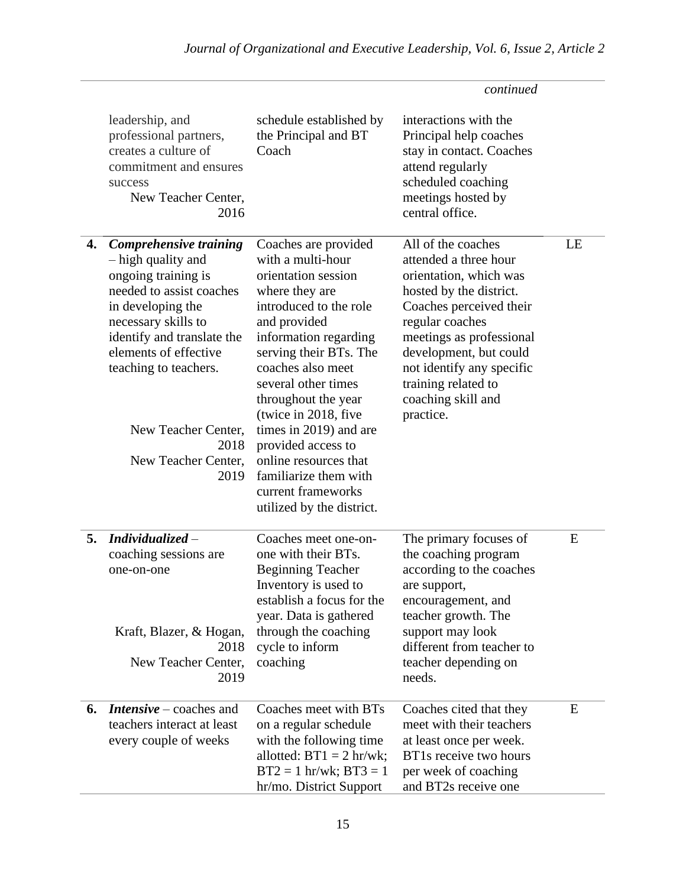|    |                                                                                                                                                                                                                                                                                                  |                                                                                                                                                                                                                                                                                                                                                                                                                                 | continued                                                                                                                                                                                                                                                                                   |    |
|----|--------------------------------------------------------------------------------------------------------------------------------------------------------------------------------------------------------------------------------------------------------------------------------------------------|---------------------------------------------------------------------------------------------------------------------------------------------------------------------------------------------------------------------------------------------------------------------------------------------------------------------------------------------------------------------------------------------------------------------------------|---------------------------------------------------------------------------------------------------------------------------------------------------------------------------------------------------------------------------------------------------------------------------------------------|----|
|    | leadership, and<br>professional partners,<br>creates a culture of<br>commitment and ensures<br>success<br>New Teacher Center,<br>2016                                                                                                                                                            | schedule established by<br>the Principal and BT<br>Coach                                                                                                                                                                                                                                                                                                                                                                        | interactions with the<br>Principal help coaches<br>stay in contact. Coaches<br>attend regularly<br>scheduled coaching<br>meetings hosted by<br>central office.                                                                                                                              |    |
| 4. | <b>Comprehensive training</b><br>- high quality and<br>ongoing training is<br>needed to assist coaches<br>in developing the<br>necessary skills to<br>identify and translate the<br>elements of effective<br>teaching to teachers.<br>New Teacher Center,<br>2018<br>New Teacher Center,<br>2019 | Coaches are provided<br>with a multi-hour<br>orientation session<br>where they are<br>introduced to the role<br>and provided<br>information regarding<br>serving their BTs. The<br>coaches also meet<br>several other times<br>throughout the year<br>(twice in 2018, five<br>times in 2019) and are<br>provided access to<br>online resources that<br>familiarize them with<br>current frameworks<br>utilized by the district. | All of the coaches<br>attended a three hour<br>orientation, which was<br>hosted by the district.<br>Coaches perceived their<br>regular coaches<br>meetings as professional<br>development, but could<br>not identify any specific<br>training related to<br>coaching skill and<br>practice. | LE |
| 5. | $\boldsymbol{Individualized}$ -<br>coaching sessions are<br>one-on-one<br>Kraft, Blazer, & Hogan,<br>2018<br>New Teacher Center,<br>2019                                                                                                                                                         | Coaches meet one-on-<br>one with their BTs.<br><b>Beginning Teacher</b><br>Inventory is used to<br>establish a focus for the<br>year. Data is gathered<br>through the coaching<br>cycle to inform<br>coaching                                                                                                                                                                                                                   | The primary focuses of<br>the coaching program<br>according to the coaches<br>are support,<br>encouragement, and<br>teacher growth. The<br>support may look<br>different from teacher to<br>teacher depending on<br>needs.                                                                  | E  |
| 6. | <b>Intensive</b> – coaches and<br>teachers interact at least<br>every couple of weeks                                                                                                                                                                                                            | Coaches meet with BTs<br>on a regular schedule<br>with the following time<br>allotted: $BT1 = 2$ hr/wk;<br>$BT2 = 1$ hr/wk; $BT3 = 1$<br>hr/mo. District Support                                                                                                                                                                                                                                                                | Coaches cited that they<br>meet with their teachers<br>at least once per week.<br>BT1s receive two hours<br>per week of coaching<br>and BT2s receive one                                                                                                                                    | E  |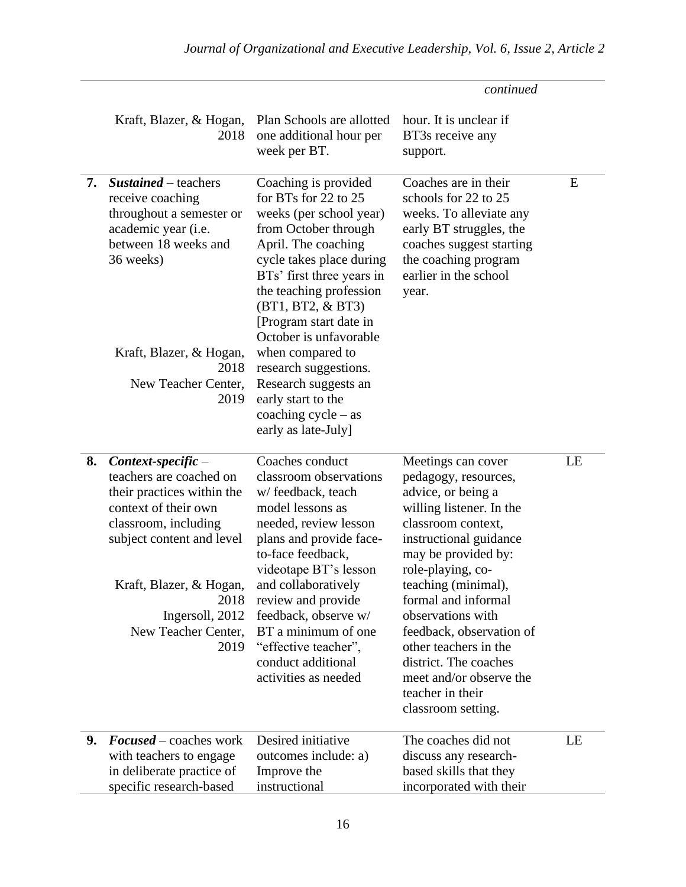|    |                                                                                                                                                                                                                                                 |                                                                                                                                                                                                                                                                                                                                                                                                                                | continued                                                                                                                                                                                                                                                                                                                                                                                                      |    |
|----|-------------------------------------------------------------------------------------------------------------------------------------------------------------------------------------------------------------------------------------------------|--------------------------------------------------------------------------------------------------------------------------------------------------------------------------------------------------------------------------------------------------------------------------------------------------------------------------------------------------------------------------------------------------------------------------------|----------------------------------------------------------------------------------------------------------------------------------------------------------------------------------------------------------------------------------------------------------------------------------------------------------------------------------------------------------------------------------------------------------------|----|
|    | Kraft, Blazer, & Hogan,<br>2018                                                                                                                                                                                                                 | Plan Schools are allotted<br>one additional hour per<br>week per BT.                                                                                                                                                                                                                                                                                                                                                           | hour. It is unclear if<br>BT3s receive any<br>support.                                                                                                                                                                                                                                                                                                                                                         |    |
| 7. | Sustained – teachers<br>receive coaching<br>throughout a semester or<br>academic year (i.e.<br>between 18 weeks and<br>36 weeks)<br>Kraft, Blazer, & Hogan,<br>2018<br>New Teacher Center,<br>2019                                              | Coaching is provided<br>for BTs for 22 to 25<br>weeks (per school year)<br>from October through<br>April. The coaching<br>cycle takes place during<br>BTs' first three years in<br>the teaching profession<br>(BT1, BT2, & BT3)<br>[Program start date in<br>October is unfavorable<br>when compared to<br>research suggestions.<br>Research suggests an<br>early start to the<br>coaching $cycle - as$<br>early as late-July] | Coaches are in their<br>schools for 22 to 25<br>weeks. To alleviate any<br>early BT struggles, the<br>coaches suggest starting<br>the coaching program<br>earlier in the school<br>year.                                                                                                                                                                                                                       | E  |
| 8. | $Context-specific -$<br>teachers are coached on<br>their practices within the<br>context of their own<br>classroom, including<br>subject content and level<br>Kraft, Blazer, & Hogan,<br>2018<br>Ingersoll, 2012<br>New Teacher Center,<br>2019 | Coaches conduct<br>classroom observations<br>w/feedback, teach<br>model lessons as<br>needed, review lesson<br>plans and provide face-<br>to-face feedback,<br>videotape BT's lesson<br>and collaboratively<br>review and provide<br>feedback, observe w/<br>BT a minimum of one<br>"effective teacher",<br>conduct additional<br>activities as needed                                                                         | Meetings can cover<br>pedagogy, resources,<br>advice, or being a<br>willing listener. In the<br>classroom context,<br>instructional guidance<br>may be provided by:<br>role-playing, co-<br>teaching (minimal),<br>formal and informal<br>observations with<br>feedback, observation of<br>other teachers in the<br>district. The coaches<br>meet and/or observe the<br>teacher in their<br>classroom setting. | LE |
| 9. | <b>Focused</b> – coaches work<br>with teachers to engage<br>in deliberate practice of<br>specific research-based                                                                                                                                | Desired initiative<br>outcomes include: a)<br>Improve the<br>instructional                                                                                                                                                                                                                                                                                                                                                     | The coaches did not<br>discuss any research-<br>based skills that they<br>incorporated with their                                                                                                                                                                                                                                                                                                              | LE |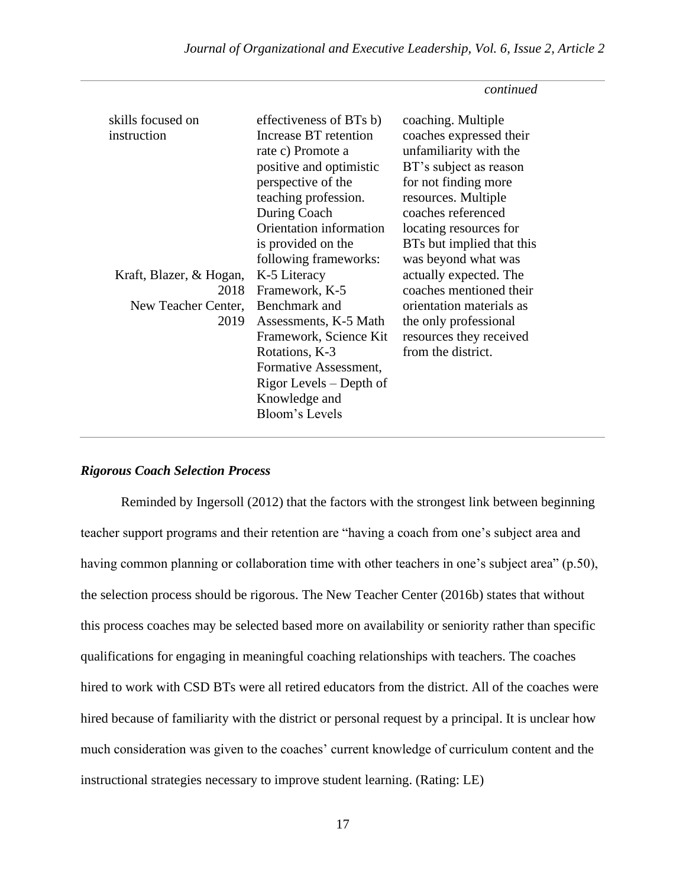*continued* 

| skills focused on<br>instruction<br>Kraft, Blazer, & Hogan,<br>New Teacher Center,<br>2019 | effectiveness of BTs b)<br>Increase BT retention<br>rate c) Promote a<br>positive and optimistic<br>perspective of the<br>teaching profession.<br>During Coach<br>Orientation information<br>is provided on the<br>following frameworks:<br>K-5 Literacy<br>2018 Framework, K-5<br>Benchmark and<br>Assessments, K-5 Math<br>Framework, Science Kit<br>Rotations, K-3<br>Formative Assessment,<br>Rigor Levels – Depth of<br>Knowledge and<br>Bloom's Levels | coaching. Multiple<br>coaches expressed their<br>unfamiliarity with the<br>BT's subject as reason<br>for not finding more<br>resources. Multiple<br>coaches referenced<br>locating resources for<br>BTs but implied that this<br>was beyond what was<br>actually expected. The<br>coaches mentioned their<br>orientation materials as<br>the only professional<br>resources they received<br>from the district. |
|--------------------------------------------------------------------------------------------|--------------------------------------------------------------------------------------------------------------------------------------------------------------------------------------------------------------------------------------------------------------------------------------------------------------------------------------------------------------------------------------------------------------------------------------------------------------|-----------------------------------------------------------------------------------------------------------------------------------------------------------------------------------------------------------------------------------------------------------------------------------------------------------------------------------------------------------------------------------------------------------------|
|--------------------------------------------------------------------------------------------|--------------------------------------------------------------------------------------------------------------------------------------------------------------------------------------------------------------------------------------------------------------------------------------------------------------------------------------------------------------------------------------------------------------------------------------------------------------|-----------------------------------------------------------------------------------------------------------------------------------------------------------------------------------------------------------------------------------------------------------------------------------------------------------------------------------------------------------------------------------------------------------------|

# *Rigorous Coach Selection Process*

Reminded by Ingersoll (2012) that the factors with the strongest link between beginning teacher support programs and their retention are "having a coach from one's subject area and having common planning or collaboration time with other teachers in one's subject area" (p.50), the selection process should be rigorous. The New Teacher Center (2016b) states that without this process coaches may be selected based more on availability or seniority rather than specific qualifications for engaging in meaningful coaching relationships with teachers. The coaches hired to work with CSD BTs were all retired educators from the district. All of the coaches were hired because of familiarity with the district or personal request by a principal. It is unclear how much consideration was given to the coaches' current knowledge of curriculum content and the instructional strategies necessary to improve student learning. (Rating: LE)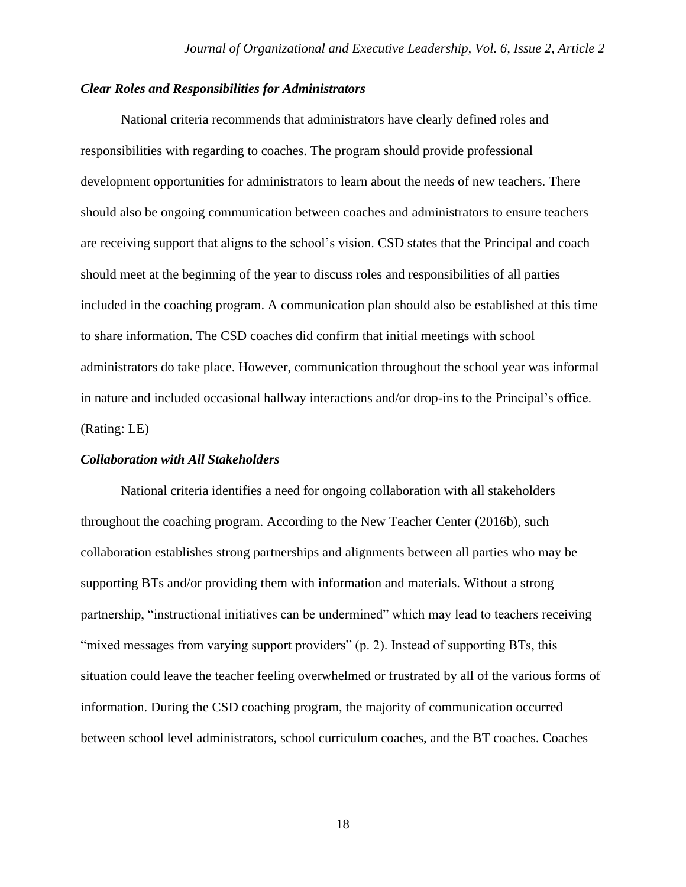# *Clear Roles and Responsibilities for Administrators*

National criteria recommends that administrators have clearly defined roles and responsibilities with regarding to coaches. The program should provide professional development opportunities for administrators to learn about the needs of new teachers. There should also be ongoing communication between coaches and administrators to ensure teachers are receiving support that aligns to the school's vision. CSD states that the Principal and coach should meet at the beginning of the year to discuss roles and responsibilities of all parties included in the coaching program. A communication plan should also be established at this time to share information. The CSD coaches did confirm that initial meetings with school administrators do take place. However, communication throughout the school year was informal in nature and included occasional hallway interactions and/or drop-ins to the Principal's office. (Rating: LE)

#### *Collaboration with All Stakeholders*

National criteria identifies a need for ongoing collaboration with all stakeholders throughout the coaching program. According to the New Teacher Center (2016b), such collaboration establishes strong partnerships and alignments between all parties who may be supporting BTs and/or providing them with information and materials. Without a strong partnership, "instructional initiatives can be undermined" which may lead to teachers receiving "mixed messages from varying support providers" (p. 2). Instead of supporting BTs, this situation could leave the teacher feeling overwhelmed or frustrated by all of the various forms of information. During the CSD coaching program, the majority of communication occurred between school level administrators, school curriculum coaches, and the BT coaches. Coaches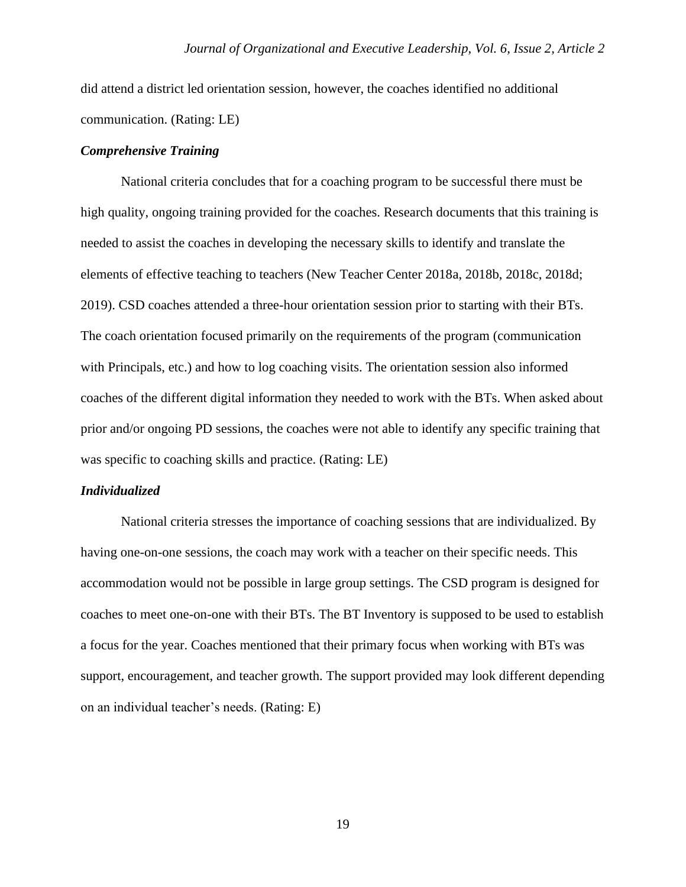did attend a district led orientation session, however, the coaches identified no additional communication. (Rating: LE)

## *Comprehensive Training*

National criteria concludes that for a coaching program to be successful there must be high quality, ongoing training provided for the coaches. Research documents that this training is needed to assist the coaches in developing the necessary skills to identify and translate the elements of effective teaching to teachers (New Teacher Center 2018a, 2018b, 2018c, 2018d; 2019). CSD coaches attended a three-hour orientation session prior to starting with their BTs. The coach orientation focused primarily on the requirements of the program (communication with Principals, etc.) and how to log coaching visits. The orientation session also informed coaches of the different digital information they needed to work with the BTs. When asked about prior and/or ongoing PD sessions, the coaches were not able to identify any specific training that was specific to coaching skills and practice. (Rating: LE)

#### *Individualized*

National criteria stresses the importance of coaching sessions that are individualized. By having one-on-one sessions, the coach may work with a teacher on their specific needs. This accommodation would not be possible in large group settings. The CSD program is designed for coaches to meet one-on-one with their BTs. The BT Inventory is supposed to be used to establish a focus for the year. Coaches mentioned that their primary focus when working with BTs was support, encouragement, and teacher growth. The support provided may look different depending on an individual teacher's needs. (Rating: E)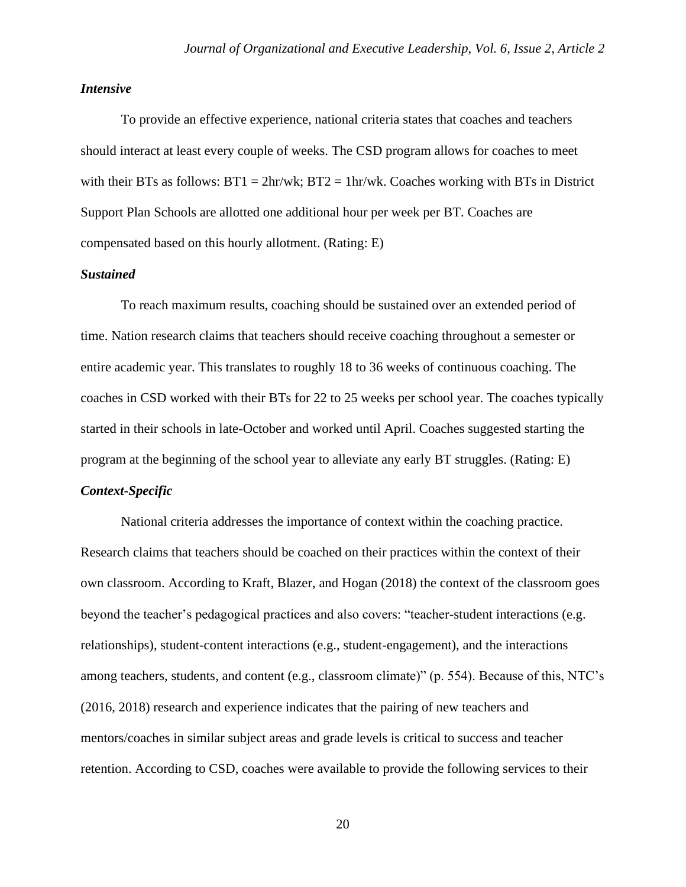# *Intensive*

To provide an effective experience, national criteria states that coaches and teachers should interact at least every couple of weeks. The CSD program allows for coaches to meet with their BTs as follows:  $BT1 = 2hr/wk$ ;  $BT2 = 1hr/wk$ . Coaches working with BTs in District Support Plan Schools are allotted one additional hour per week per BT. Coaches are compensated based on this hourly allotment. (Rating: E)

# *Sustained*

To reach maximum results, coaching should be sustained over an extended period of time. Nation research claims that teachers should receive coaching throughout a semester or entire academic year. This translates to roughly 18 to 36 weeks of continuous coaching. The coaches in CSD worked with their BTs for 22 to 25 weeks per school year. The coaches typically started in their schools in late-October and worked until April. Coaches suggested starting the program at the beginning of the school year to alleviate any early BT struggles. (Rating: E) *Context-Specific*

National criteria addresses the importance of context within the coaching practice. Research claims that teachers should be coached on their practices within the context of their own classroom. According to Kraft, Blazer, and Hogan (2018) the context of the classroom goes beyond the teacher's pedagogical practices and also covers: "teacher-student interactions (e.g. relationships), student-content interactions (e.g., student-engagement), and the interactions among teachers, students, and content (e.g., classroom climate)" (p. 554). Because of this, NTC's (2016, 2018) research and experience indicates that the pairing of new teachers and mentors/coaches in similar subject areas and grade levels is critical to success and teacher retention. According to CSD, coaches were available to provide the following services to their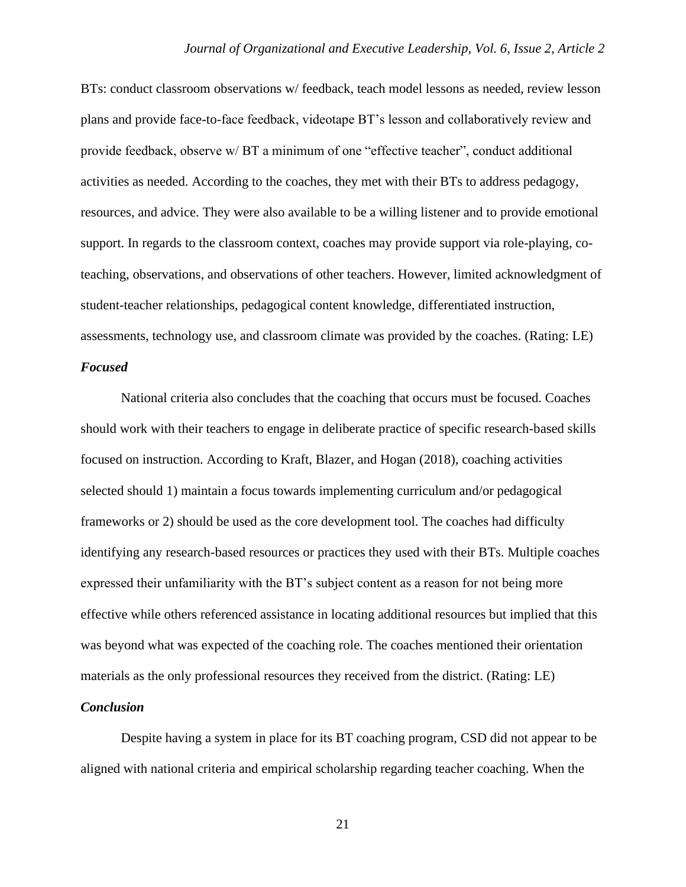BTs: conduct classroom observations w/ feedback, teach model lessons as needed, review lesson plans and provide face-to-face feedback, videotape BT's lesson and collaboratively review and provide feedback, observe w/ BT a minimum of one "effective teacher", conduct additional activities as needed. According to the coaches, they met with their BTs to address pedagogy, resources, and advice. They were also available to be a willing listener and to provide emotional support. In regards to the classroom context, coaches may provide support via role-playing, coteaching, observations, and observations of other teachers. However, limited acknowledgment of student-teacher relationships, pedagogical content knowledge, differentiated instruction, assessments, technology use, and classroom climate was provided by the coaches. (Rating: LE)

# *Focused*

National criteria also concludes that the coaching that occurs must be focused. Coaches should work with their teachers to engage in deliberate practice of specific research-based skills focused on instruction. According to Kraft, Blazer, and Hogan (2018), coaching activities selected should 1) maintain a focus towards implementing curriculum and/or pedagogical frameworks or 2) should be used as the core development tool. The coaches had difficulty identifying any research-based resources or practices they used with their BTs. Multiple coaches expressed their unfamiliarity with the BT's subject content as a reason for not being more effective while others referenced assistance in locating additional resources but implied that this was beyond what was expected of the coaching role. The coaches mentioned their orientation materials as the only professional resources they received from the district. (Rating: LE)

## *Conclusion*

Despite having a system in place for its BT coaching program, CSD did not appear to be aligned with national criteria and empirical scholarship regarding teacher coaching. When the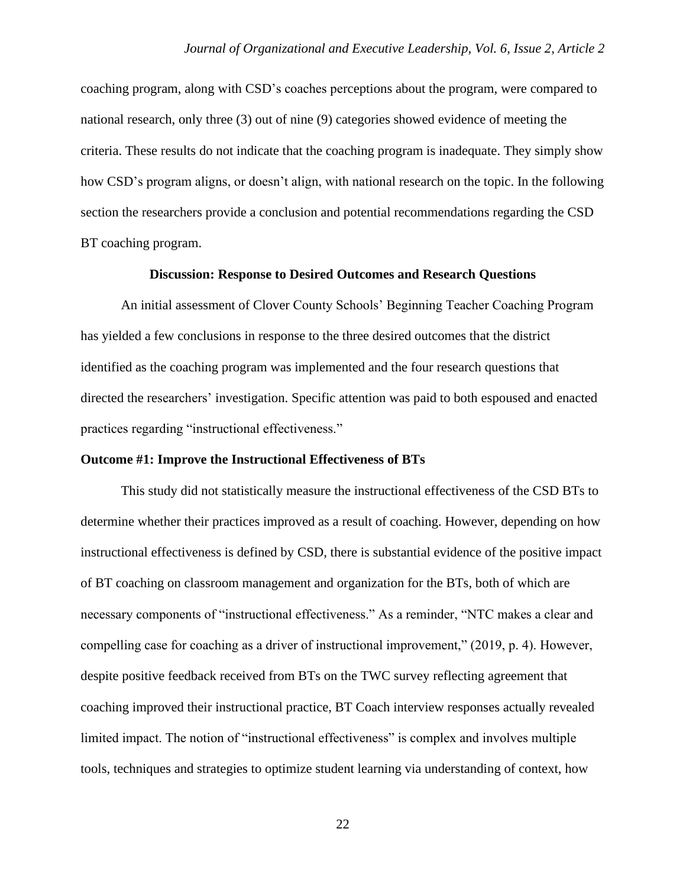coaching program, along with CSD's coaches perceptions about the program, were compared to national research, only three (3) out of nine (9) categories showed evidence of meeting the criteria. These results do not indicate that the coaching program is inadequate. They simply show how CSD's program aligns, or doesn't align, with national research on the topic. In the following section the researchers provide a conclusion and potential recommendations regarding the CSD BT coaching program.

#### **Discussion: Response to Desired Outcomes and Research Questions**

An initial assessment of Clover County Schools' Beginning Teacher Coaching Program has yielded a few conclusions in response to the three desired outcomes that the district identified as the coaching program was implemented and the four research questions that directed the researchers' investigation. Specific attention was paid to both espoused and enacted practices regarding "instructional effectiveness."

#### **Outcome #1: Improve the Instructional Effectiveness of BTs**

This study did not statistically measure the instructional effectiveness of the CSD BTs to determine whether their practices improved as a result of coaching. However, depending on how instructional effectiveness is defined by CSD, there is substantial evidence of the positive impact of BT coaching on classroom management and organization for the BTs, both of which are necessary components of "instructional effectiveness." As a reminder, "NTC makes a clear and compelling case for coaching as a driver of instructional improvement," (2019, p. 4). However, despite positive feedback received from BTs on the TWC survey reflecting agreement that coaching improved their instructional practice, BT Coach interview responses actually revealed limited impact. The notion of "instructional effectiveness" is complex and involves multiple tools, techniques and strategies to optimize student learning via understanding of context, how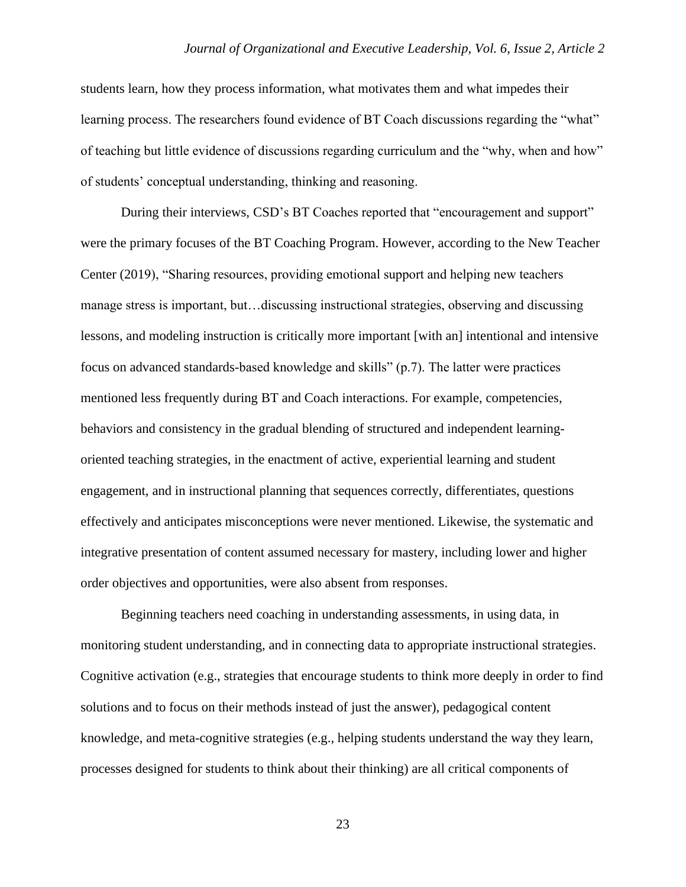students learn, how they process information, what motivates them and what impedes their learning process. The researchers found evidence of BT Coach discussions regarding the "what" of teaching but little evidence of discussions regarding curriculum and the "why, when and how" of students' conceptual understanding, thinking and reasoning.

During their interviews, CSD's BT Coaches reported that "encouragement and support" were the primary focuses of the BT Coaching Program. However, according to the New Teacher Center (2019), "Sharing resources, providing emotional support and helping new teachers manage stress is important, but…discussing instructional strategies, observing and discussing lessons, and modeling instruction is critically more important [with an] intentional and intensive focus on advanced standards-based knowledge and skills" (p.7). The latter were practices mentioned less frequently during BT and Coach interactions. For example, competencies, behaviors and consistency in the gradual blending of structured and independent learningoriented teaching strategies, in the enactment of active, experiential learning and student engagement, and in instructional planning that sequences correctly, differentiates, questions effectively and anticipates misconceptions were never mentioned. Likewise, the systematic and integrative presentation of content assumed necessary for mastery, including lower and higher order objectives and opportunities, were also absent from responses.

Beginning teachers need coaching in understanding assessments, in using data, in monitoring student understanding, and in connecting data to appropriate instructional strategies. Cognitive activation (e.g., strategies that encourage students to think more deeply in order to find solutions and to focus on their methods instead of just the answer), pedagogical content knowledge, and meta-cognitive strategies (e.g., helping students understand the way they learn, processes designed for students to think about their thinking) are all critical components of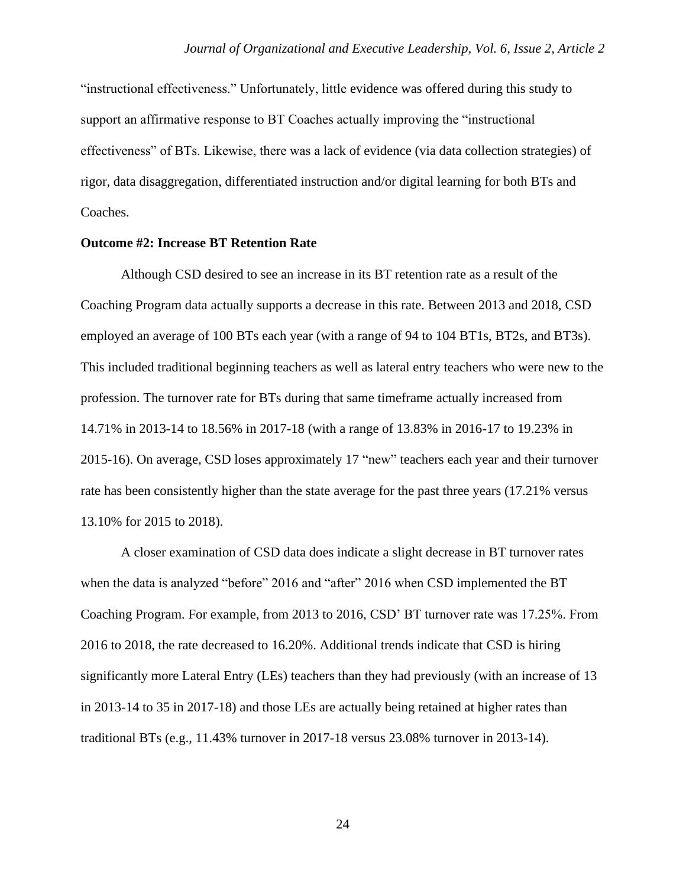"instructional effectiveness." Unfortunately, little evidence was offered during this study to support an affirmative response to BT Coaches actually improving the "instructional effectiveness" of BTs. Likewise, there was a lack of evidence (via data collection strategies) of rigor, data disaggregation, differentiated instruction and/or digital learning for both BTs and Coaches.

#### **Outcome #2: Increase BT Retention Rate**

Although CSD desired to see an increase in its BT retention rate as a result of the Coaching Program data actually supports a decrease in this rate. Between 2013 and 2018, CSD employed an average of 100 BTs each year (with a range of 94 to 104 BT1s, BT2s, and BT3s). This included traditional beginning teachers as well as lateral entry teachers who were new to the profession. The turnover rate for BTs during that same timeframe actually increased from 14.71% in 2013-14 to 18.56% in 2017-18 (with a range of 13.83% in 2016-17 to 19.23% in 2015-16). On average, CSD loses approximately 17 "new" teachers each year and their turnover rate has been consistently higher than the state average for the past three years (17.21% versus 13.10% for 2015 to 2018).

A closer examination of CSD data does indicate a slight decrease in BT turnover rates when the data is analyzed "before" 2016 and "after" 2016 when CSD implemented the BT Coaching Program. For example, from 2013 to 2016, CSD' BT turnover rate was 17.25%. From 2016 to 2018, the rate decreased to 16.20%. Additional trends indicate that CSD is hiring significantly more Lateral Entry (LEs) teachers than they had previously (with an increase of 13 in 2013-14 to 35 in 2017-18) and those LEs are actually being retained at higher rates than traditional BTs (e.g., 11.43% turnover in 2017-18 versus 23.08% turnover in 2013-14).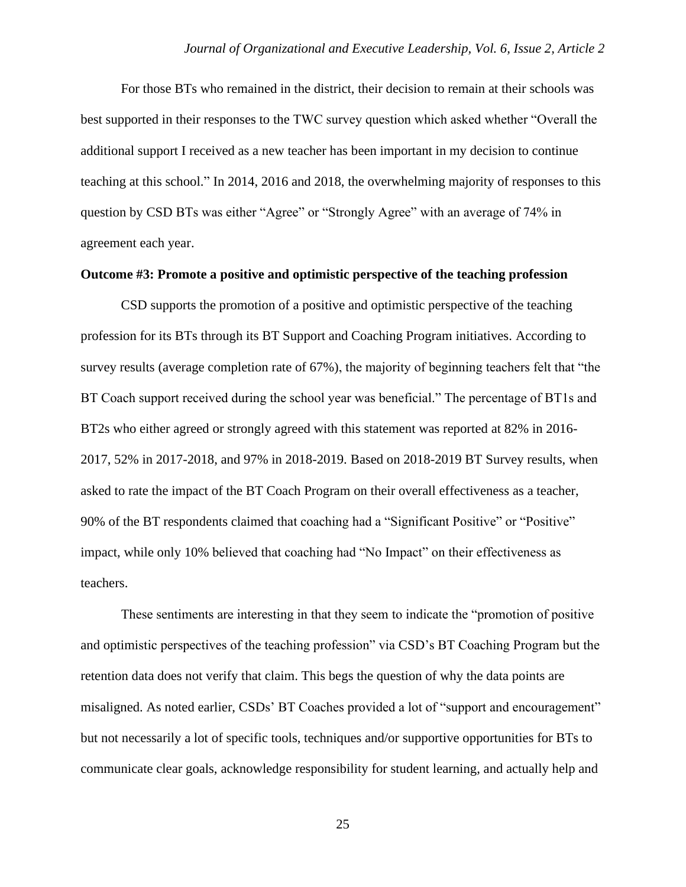For those BTs who remained in the district, their decision to remain at their schools was best supported in their responses to the TWC survey question which asked whether "Overall the additional support I received as a new teacher has been important in my decision to continue teaching at this school." In 2014, 2016 and 2018, the overwhelming majority of responses to this question by CSD BTs was either "Agree" or "Strongly Agree" with an average of 74% in agreement each year.

#### **Outcome #3: Promote a positive and optimistic perspective of the teaching profession**

CSD supports the promotion of a positive and optimistic perspective of the teaching profession for its BTs through its BT Support and Coaching Program initiatives. According to survey results (average completion rate of 67%), the majority of beginning teachers felt that "the BT Coach support received during the school year was beneficial." The percentage of BT1s and BT2s who either agreed or strongly agreed with this statement was reported at 82% in 2016- 2017, 52% in 2017-2018, and 97% in 2018-2019. Based on 2018-2019 BT Survey results, when asked to rate the impact of the BT Coach Program on their overall effectiveness as a teacher, 90% of the BT respondents claimed that coaching had a "Significant Positive" or "Positive" impact, while only 10% believed that coaching had "No Impact" on their effectiveness as teachers.

These sentiments are interesting in that they seem to indicate the "promotion of positive and optimistic perspectives of the teaching profession" via CSD's BT Coaching Program but the retention data does not verify that claim. This begs the question of why the data points are misaligned. As noted earlier, CSDs' BT Coaches provided a lot of "support and encouragement" but not necessarily a lot of specific tools, techniques and/or supportive opportunities for BTs to communicate clear goals, acknowledge responsibility for student learning, and actually help and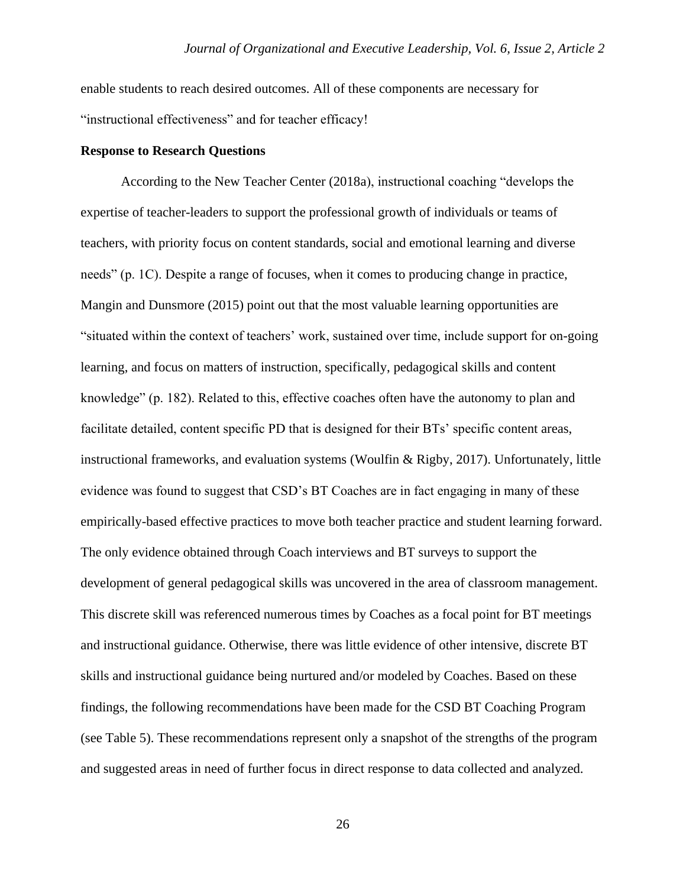enable students to reach desired outcomes. All of these components are necessary for "instructional effectiveness" and for teacher efficacy!

#### **Response to Research Questions**

According to the New Teacher Center (2018a), instructional coaching "develops the expertise of teacher-leaders to support the professional growth of individuals or teams of teachers, with priority focus on content standards, social and emotional learning and diverse needs" (p. 1C). Despite a range of focuses, when it comes to producing change in practice, Mangin and Dunsmore (2015) point out that the most valuable learning opportunities are "situated within the context of teachers' work, sustained over time, include support for on-going learning, and focus on matters of instruction, specifically, pedagogical skills and content knowledge" (p. 182). Related to this, effective coaches often have the autonomy to plan and facilitate detailed, content specific PD that is designed for their BTs' specific content areas, instructional frameworks, and evaluation systems (Woulfin & Rigby, 2017). Unfortunately, little evidence was found to suggest that CSD's BT Coaches are in fact engaging in many of these empirically-based effective practices to move both teacher practice and student learning forward. The only evidence obtained through Coach interviews and BT surveys to support the development of general pedagogical skills was uncovered in the area of classroom management. This discrete skill was referenced numerous times by Coaches as a focal point for BT meetings and instructional guidance. Otherwise, there was little evidence of other intensive, discrete BT skills and instructional guidance being nurtured and/or modeled by Coaches. Based on these findings, the following recommendations have been made for the CSD BT Coaching Program (see Table 5). These recommendations represent only a snapshot of the strengths of the program and suggested areas in need of further focus in direct response to data collected and analyzed.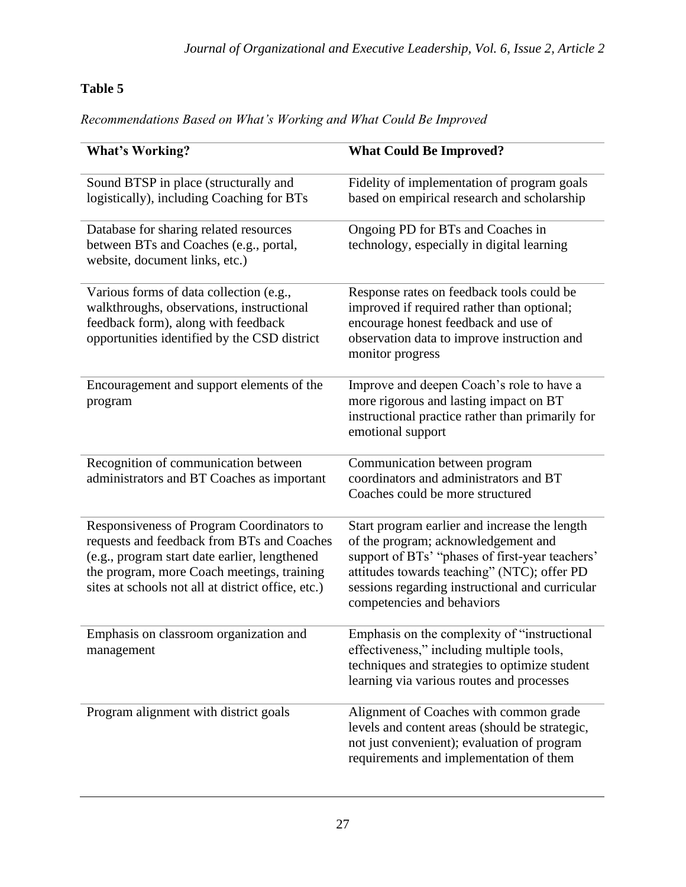# **Table 5**

*Recommendations Based on What's Working and What Could Be Improved*

| <b>What's Working?</b>                                                                                                                                                                                                                       | <b>What Could Be Improved?</b>                                                                                                                                                                                                                                          |
|----------------------------------------------------------------------------------------------------------------------------------------------------------------------------------------------------------------------------------------------|-------------------------------------------------------------------------------------------------------------------------------------------------------------------------------------------------------------------------------------------------------------------------|
| Sound BTSP in place (structurally and<br>logistically), including Coaching for BTs                                                                                                                                                           | Fidelity of implementation of program goals<br>based on empirical research and scholarship                                                                                                                                                                              |
| Database for sharing related resources<br>between BTs and Coaches (e.g., portal,<br>website, document links, etc.)                                                                                                                           | Ongoing PD for BTs and Coaches in<br>technology, especially in digital learning                                                                                                                                                                                         |
| Various forms of data collection (e.g.,<br>walkthroughs, observations, instructional<br>feedback form), along with feedback<br>opportunities identified by the CSD district                                                                  | Response rates on feedback tools could be<br>improved if required rather than optional;<br>encourage honest feedback and use of<br>observation data to improve instruction and<br>monitor progress                                                                      |
| Encouragement and support elements of the<br>program                                                                                                                                                                                         | Improve and deepen Coach's role to have a<br>more rigorous and lasting impact on BT<br>instructional practice rather than primarily for<br>emotional support                                                                                                            |
| Recognition of communication between<br>administrators and BT Coaches as important                                                                                                                                                           | Communication between program<br>coordinators and administrators and BT<br>Coaches could be more structured                                                                                                                                                             |
| Responsiveness of Program Coordinators to<br>requests and feedback from BTs and Coaches<br>(e.g., program start date earlier, lengthened<br>the program, more Coach meetings, training<br>sites at schools not all at district office, etc.) | Start program earlier and increase the length<br>of the program; acknowledgement and<br>support of BTs' "phases of first-year teachers'<br>attitudes towards teaching" (NTC); offer PD<br>sessions regarding instructional and curricular<br>competencies and behaviors |
| Emphasis on classroom organization and<br>management                                                                                                                                                                                         | Emphasis on the complexity of "instructional<br>effectiveness," including multiple tools,<br>techniques and strategies to optimize student<br>learning via various routes and processes                                                                                 |
| Program alignment with district goals                                                                                                                                                                                                        | Alignment of Coaches with common grade<br>levels and content areas (should be strategic,<br>not just convenient); evaluation of program<br>requirements and implementation of them                                                                                      |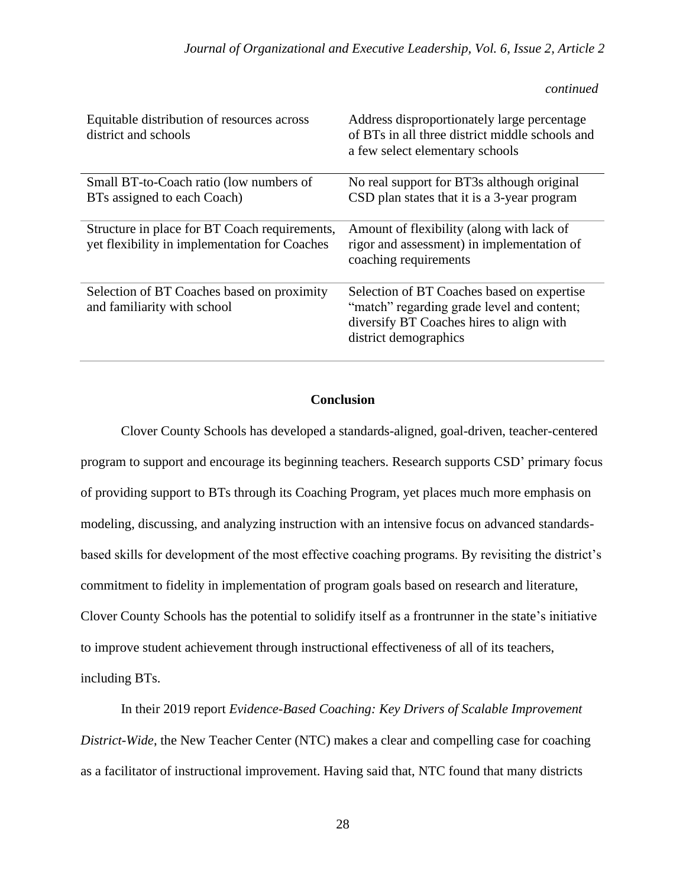#### *continued*

| Equitable distribution of resources across<br>district and schools                             | Address disproportionately large percentage<br>of BTs in all three district middle schools and<br>a few select elementary schools                             |
|------------------------------------------------------------------------------------------------|---------------------------------------------------------------------------------------------------------------------------------------------------------------|
| Small BT-to-Coach ratio (low numbers of                                                        | No real support for BT3s although original                                                                                                                    |
| BTs assigned to each Coach)                                                                    | CSD plan states that it is a 3-year program                                                                                                                   |
| Structure in place for BT Coach requirements,<br>yet flexibility in implementation for Coaches | Amount of flexibility (along with lack of<br>rigor and assessment) in implementation of<br>coaching requirements                                              |
| Selection of BT Coaches based on proximity<br>and familiarity with school                      | Selection of BT Coaches based on expertise<br>"match" regarding grade level and content;<br>diversify BT Coaches hires to align with<br>district demographics |

# **Conclusion**

Clover County Schools has developed a standards-aligned, goal-driven, teacher-centered program to support and encourage its beginning teachers. Research supports CSD' primary focus of providing support to BTs through its Coaching Program, yet places much more emphasis on modeling, discussing, and analyzing instruction with an intensive focus on advanced standardsbased skills for development of the most effective coaching programs. By revisiting the district's commitment to fidelity in implementation of program goals based on research and literature, Clover County Schools has the potential to solidify itself as a frontrunner in the state's initiative to improve student achievement through instructional effectiveness of all of its teachers, including BTs.

In their 2019 report *Evidence-Based Coaching: Key Drivers of Scalable Improvement District-Wide*, the New Teacher Center (NTC) makes a clear and compelling case for coaching as a facilitator of instructional improvement. Having said that, NTC found that many districts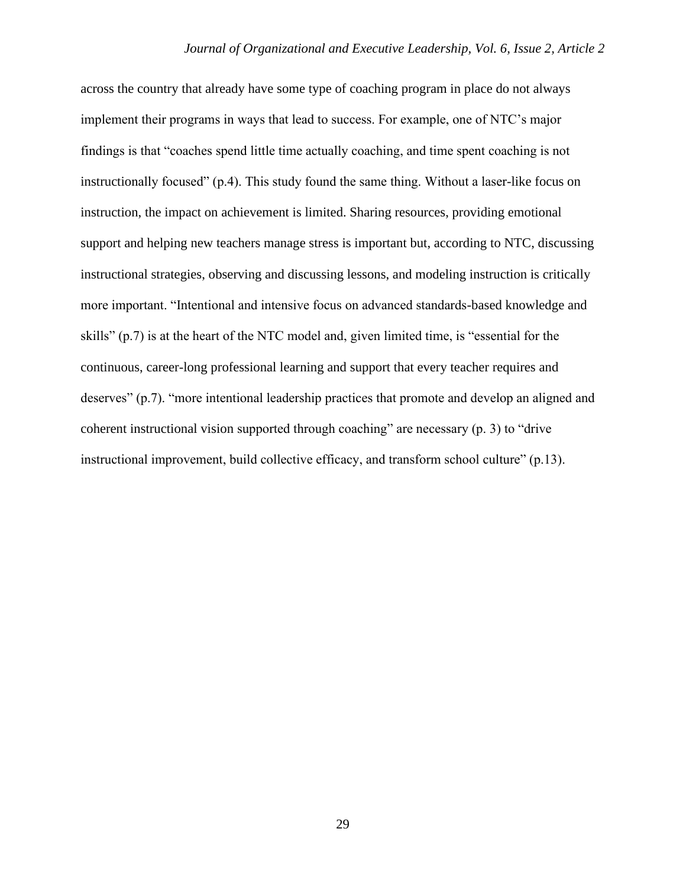across the country that already have some type of coaching program in place do not always implement their programs in ways that lead to success. For example, one of NTC's major findings is that "coaches spend little time actually coaching, and time spent coaching is not instructionally focused" (p.4). This study found the same thing. Without a laser-like focus on instruction, the impact on achievement is limited. Sharing resources, providing emotional support and helping new teachers manage stress is important but, according to NTC, discussing instructional strategies, observing and discussing lessons, and modeling instruction is critically more important. "Intentional and intensive focus on advanced standards-based knowledge and skills" (p.7) is at the heart of the NTC model and, given limited time, is "essential for the continuous, career-long professional learning and support that every teacher requires and deserves" (p.7). "more intentional leadership practices that promote and develop an aligned and coherent instructional vision supported through coaching" are necessary (p. 3) to "drive instructional improvement, build collective efficacy, and transform school culture" (p.13).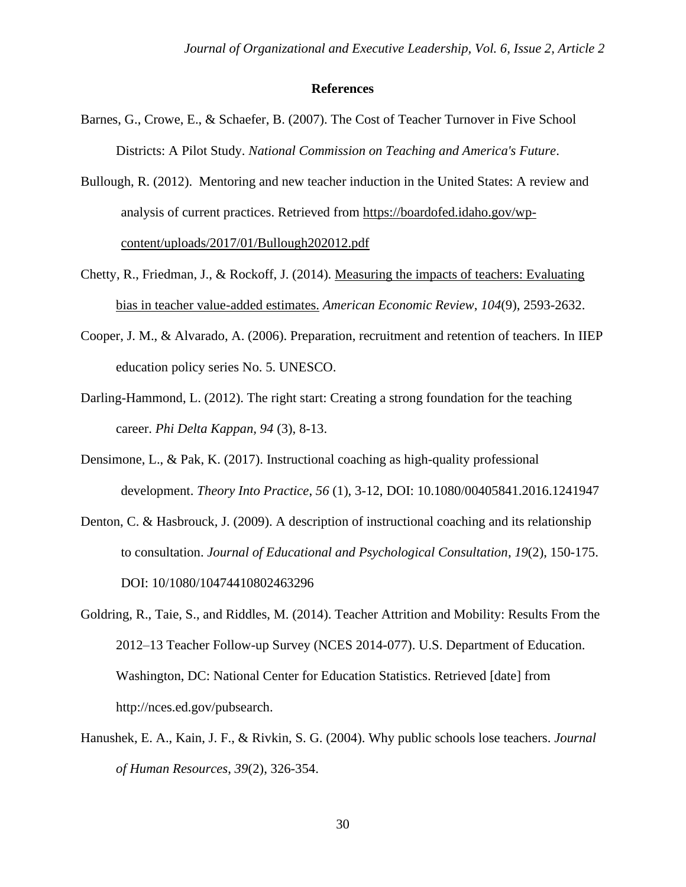#### **References**

- Barnes, G., Crowe, E., & Schaefer, B. (2007). The Cost of Teacher Turnover in Five School Districts: A Pilot Study. *National Commission on Teaching and America's Future*.
- Bullough, R. (2012). Mentoring and new teacher induction in the United States: A review and analysis of current practices. Retrieved from [https://boardofed.idaho.gov/wp](https://boardofed.idaho.gov/wp-content/uploads/2017/01/Bullough202012.pdf)[content/uploads/2017/01/Bullough202012.pdf](https://boardofed.idaho.gov/wp-content/uploads/2017/01/Bullough202012.pdf)
- Chetty, R., Friedman, J., & Rockoff, J. (2014). [Measuring the impacts of teachers: Evaluating](https://www.aeaweb.org/articles.php?doi=10.1257/aer.104.9.2593&fnd=s)  [bias in teacher value-added estimates.](https://www.aeaweb.org/articles.php?doi=10.1257/aer.104.9.2593&fnd=s) *American Economic Review*, *104*(9), 2593-2632.
- Cooper, J. M., & Alvarado, A. (2006). Preparation, recruitment and retention of teachers. In IIEP education policy series No. 5. UNESCO.
- Darling-Hammond, L. (2012). The right start: Creating a strong foundation for the teaching career. *Phi Delta Kappan, 94* (3), 8-13.
- Densimone, L., & Pak, K. (2017). Instructional coaching as high-quality professional development. *Theory Into Practice*, *56* (1), 3-12, DOI: 10.1080/00405841.2016.1241947
- Denton, C. & Hasbrouck, J. (2009). A description of instructional coaching and its relationship to consultation. *Journal of Educational and Psychological Consultation*, *19*(2), 150-175. DOI: 10/1080/10474410802463296
- Goldring, R., Taie, S., and Riddles, M. (2014). Teacher Attrition and Mobility: Results From the 2012–13 Teacher Follow-up Survey (NCES 2014-077). U.S. Department of Education. Washington, DC: National Center for Education Statistics. Retrieved [date] from http://nces.ed.gov/pubsearch.
- Hanushek, E. A., Kain, J. F., & Rivkin, S. G. (2004). Why public schools lose teachers. *Journal of Human Resources*, *39*(2), 326-354.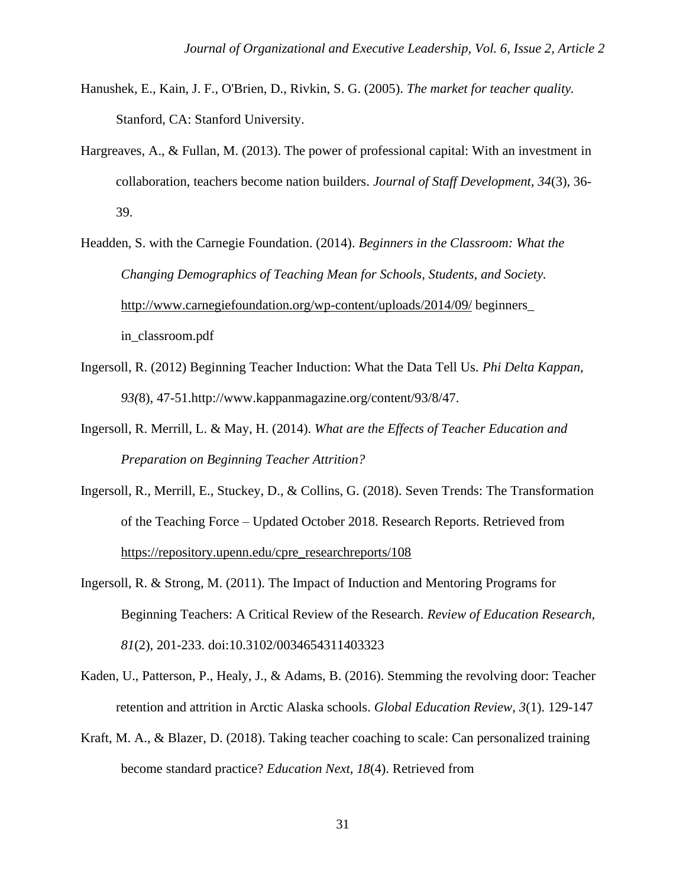- Hanushek, E., Kain, J. F., O'Brien, D., Rivkin, S. G. (2005). *The market for teacher quality.*  Stanford, CA: Stanford University.
- Hargreaves, A., & Fullan, M. (2013). The power of professional capital: With an investment in collaboration, teachers become nation builders. *Journal of Staff Development, 34*(3), 36- 39.

Headden, S. with the Carnegie Foundation. (2014). *Beginners in the Classroom: What the Changing Demographics of Teaching Mean for Schools, Students, and Society.*  <http://www.carnegiefoundation.org/wp-content/uploads/2014/09/> beginners\_ in\_classroom.pdf

- Ingersoll, R. (2012) Beginning Teacher Induction: What the Data Tell Us. *Phi Delta Kappan, 93(*8), 47-51.http://www.kappanmagazine.org/content/93/8/47.
- Ingersoll, R. Merrill, L. & May, H. (2014). *What are the Effects of Teacher Education and Preparation on Beginning Teacher Attrition?*
- Ingersoll, R., Merrill, E., Stuckey, D., & Collins, G. (2018). Seven Trends: The Transformation of the Teaching Force – Updated October 2018. Research Reports. Retrieved from [https://repository.upenn.edu/cpre\\_researchreports/108](https://repository.upenn.edu/cpre_researchreports/108)
- Ingersoll, R. & Strong, M. (2011). The Impact of Induction and Mentoring Programs for Beginning Teachers: A Critical Review of the Research. *Review of Education Research, 81*(2), 201-233. doi:10.3102/0034654311403323
- Kaden, U., Patterson, P., Healy, J., & Adams, B. (2016). Stemming the revolving door: Teacher retention and attrition in Arctic Alaska schools. *Global Education Review, 3*(1). 129-147
- Kraft, M. A., & Blazer, D. (2018). Taking teacher coaching to scale: Can personalized training become standard practice? *Education Next*, *18*(4). Retrieved from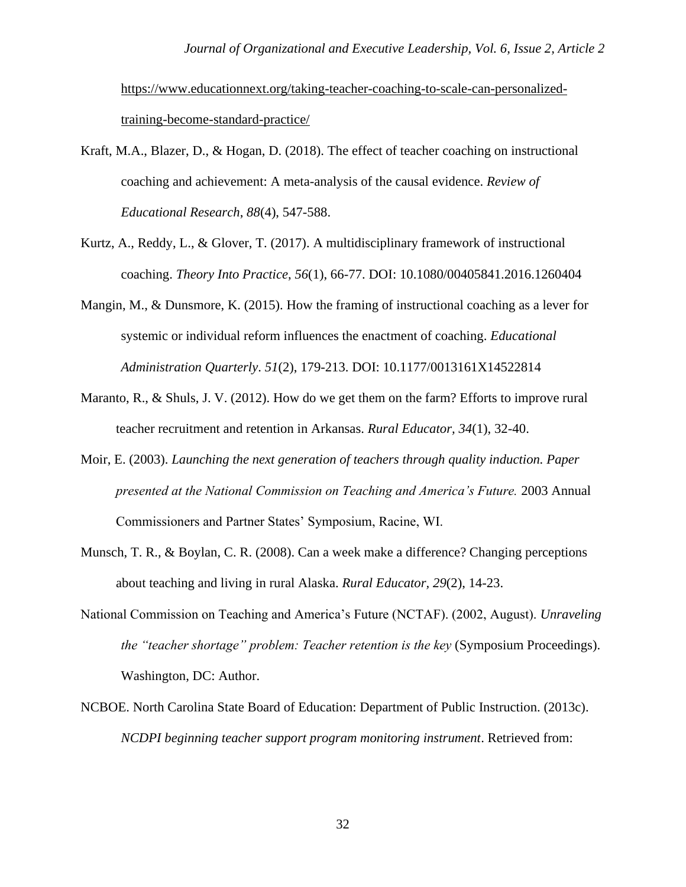[https://www.educationnext.org/taking-teacher-coaching-to-scale-can-personalized](https://www.educationnext.org/taking-teacher-coaching-to-scale-can-personalized-training-become-standard-practice/)[training-become-standard-practice/](https://www.educationnext.org/taking-teacher-coaching-to-scale-can-personalized-training-become-standard-practice/) 

- Kraft, M.A., Blazer, D., & Hogan, D. (2018). The effect of teacher coaching on instructional coaching and achievement: A meta-analysis of the causal evidence. *Review of Educational Research*, *88*(4), 547-588.
- Kurtz, A., Reddy, L., & Glover, T. (2017). A multidisciplinary framework of instructional coaching. *Theory Into Practice*, *56*(1), 66-77. DOI: 10.1080/00405841.2016.1260404
- Mangin, M., & Dunsmore, K. (2015). How the framing of instructional coaching as a lever for systemic or individual reform influences the enactment of coaching. *Educational Administration Quarterly*. *51*(2), 179-213. DOI: 10.1177/0013161X14522814
- Maranto, R., & Shuls, J. V. (2012). How do we get them on the farm? Efforts to improve rural teacher recruitment and retention in Arkansas. *Rural Educator, 34*(1), 32-40.
- Moir, E. (2003). *Launching the next generation of teachers through quality induction. Paper presented at the National Commission on Teaching and America's Future.* 2003 Annual Commissioners and Partner States' Symposium, Racine, WI.
- Munsch, T. R., & Boylan, C. R. (2008). Can a week make a difference? Changing perceptions about teaching and living in rural Alaska. *Rural Educator, 29*(2), 14-23.
- National Commission on Teaching and America's Future (NCTAF). (2002, August). *Unraveling the "teacher shortage" problem: Teacher retention is the key* (Symposium Proceedings). Washington, DC: Author.
- NCBOE. North Carolina State Board of Education: Department of Public Instruction. (2013c). *NCDPI beginning teacher support program monitoring instrument*. Retrieved from: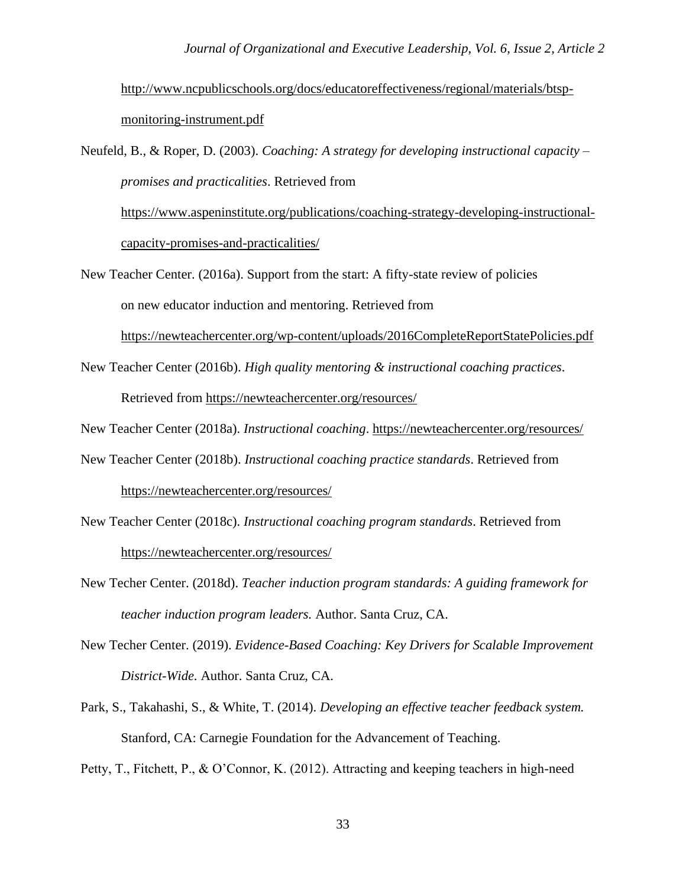[http://www.ncpublicschools.org/docs/educatoreffectiveness/regional/materials/btsp](http://www.ncpublicschools.org/docs/educatoreffectiveness/regional/materials/btsp-monitoring-instrument.pdf)[monitoring-instrument.pdf](http://www.ncpublicschools.org/docs/educatoreffectiveness/regional/materials/btsp-monitoring-instrument.pdf)

Neufeld, B., & Roper, D. (2003). *Coaching: A strategy for developing instructional capacity – promises and practicalities*. Retrieved from

[https://www.aspeninstitute.org/publications/coaching-strategy-developing-instructional](https://www.aspeninstitute.org/publications/coaching-strategy-developing-instructional-capacity-promises-and-practicalities/)[capacity-promises-and-practicalities/](https://www.aspeninstitute.org/publications/coaching-strategy-developing-instructional-capacity-promises-and-practicalities/)

New Teacher Center. (2016a). Support from the start: A fifty-state review of policies on new educator induction and mentoring. Retrieved from

<https://newteachercenter.org/wp-content/uploads/2016CompleteReportStatePolicies.pdf>

New Teacher Center (2016b). *High quality mentoring & instructional coaching practices*. Retrieved from<https://newteachercenter.org/resources/>

New Teacher Center (2018a). *Instructional coaching*.<https://newteachercenter.org/resources/>

- New Teacher Center (2018b). *Instructional coaching practice standards*. Retrieved from <https://newteachercenter.org/resources/>
- New Teacher Center (2018c). *Instructional coaching program standards*. Retrieved from <https://newteachercenter.org/resources/>
- New Techer Center. (2018d). *Teacher induction program standards: A guiding framework for teacher induction program leaders.* Author. Santa Cruz, CA.
- New Techer Center. (2019). *Evidence-Based Coaching: Key Drivers for Scalable Improvement District-Wide.* Author. Santa Cruz, CA.
- Park, S., Takahashi, S., & White, T. (2014). *Developing an effective teacher feedback system.*  Stanford, CA: Carnegie Foundation for the Advancement of Teaching.

Petty, T., Fitchett, P., & O'Connor, K. (2012). Attracting and keeping teachers in high-need